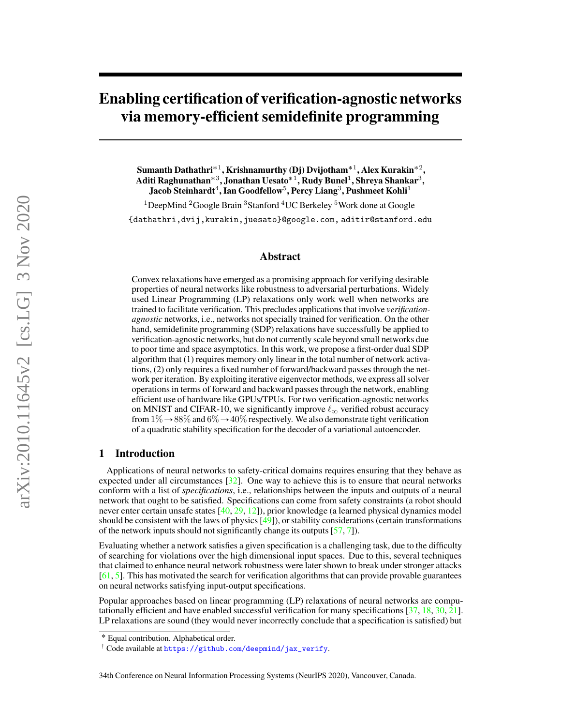# <span id="page-0-0"></span>Enabling certification of verification-agnostic networks via memory-efficient semidefinite programming

Sumanth Dathathri $^{\ast}{}^{1},$  Krishnamurthy (Dj) Dvijotham $^{\ast}{}^{1},$  Alex Kurakin $^{\ast}{}^{2},$ Aditi Raghunathan $^{\ast 3}$ , Jonathan Uesato $^{\ast 1}$ , Rudy Bunel $^1$ , Shreya Shankar $^3,$ Jacob Steinhardt $^4$ , Ian Goodfellow $^5$ , Percy Liang $^3$ , Pushmeet Kohli $^1$ 

<sup>1</sup>DeepMind <sup>2</sup>Google Brain <sup>3</sup>Stanford <sup>4</sup>UC Berkeley <sup>5</sup>Work done at Google {dathathri,dvij,kurakin,juesato}@google.com, aditir@stanford.edu

## Abstract

Convex relaxations have emerged as a promising approach for verifying desirable properties of neural networks like robustness to adversarial perturbations. Widely used Linear Programming (LP) relaxations only work well when networks are trained to facilitate verification. This precludes applications that involve *verificationagnostic* networks, i.e., networks not specially trained for verification. On the other hand, semidefinite programming (SDP) relaxations have successfully be applied to verification-agnostic networks, but do not currently scale beyond small networks due to poor time and space asymptotics. In this work, we propose a first-order dual SDP algorithm that (1) requires memory only linear in the total number of network activations, (2) only requires a fixed number of forward/backward passes through the network per iteration. By exploiting iterative eigenvector methods, we express all solver operations in terms of forward and backward passes through the network, enabling efficient use of hardware like GPUs/TPUs. For two verification-agnostic networks on MNIST and CIFAR-10, we significantly improve  $\ell_{\infty}$  verified robust accuracy from  $1\% \rightarrow 88\%$  and  $6\% \rightarrow 40\%$  respectively. We also demonstrate tight verification of a quadratic stability specification for the decoder of a variational autoencoder.

# 1 Introduction

Applications of neural networks to safety-critical domains requires ensuring that they behave as expected under all circumstances  $\lceil 32 \rceil$ . One way to achieve this is to ensure that neural networks conform with a list of *specifications*, i.e., relationships between the inputs and outputs of a neural network that ought to be satisfied. Specifications can come from safety constraints (a robot should never enter certain unsafe states  $[40, 29, 12]$  $[40, 29, 12]$  $[40, 29, 12]$  $[40, 29, 12]$  $[40, 29, 12]$ ), prior knowledge (a learned physical dynamics model should be consistent with the laws of physics [\[49\]](#page-12-1)), or stability considerations (certain transformations of the network inputs should not significantly change its outputs [\[57,](#page-13-0) [7\]](#page-10-1)).

Evaluating whether a network satisfies a given specification is a challenging task, due to the difficulty of searching for violations over the high dimensional input spaces. Due to this, several techniques that claimed to enhance neural network robustness were later shown to break under stronger attacks [\[61,](#page-13-1) [5\]](#page-10-2). This has motivated the search for verification algorithms that can provide provable guarantees on neural networks satisfying input-output specifications.

Popular approaches based on linear programming (LP) relaxations of neural networks are computationally efficient and have enabled successful verification for many specifications [\[37,](#page-12-2) [18,](#page-11-2) [30,](#page-11-3) [21\]](#page-11-4). LP relaxations are sound (they would never incorrectly conclude that a specification is satisfied) but

<sup>˚</sup> Equal contribution. Alphabetical order.

<sup>&</sup>lt;sup>†</sup> Code available at [https://github.com/deepmind/jax\\_verify](https://github.com/deepmind/jax_verify).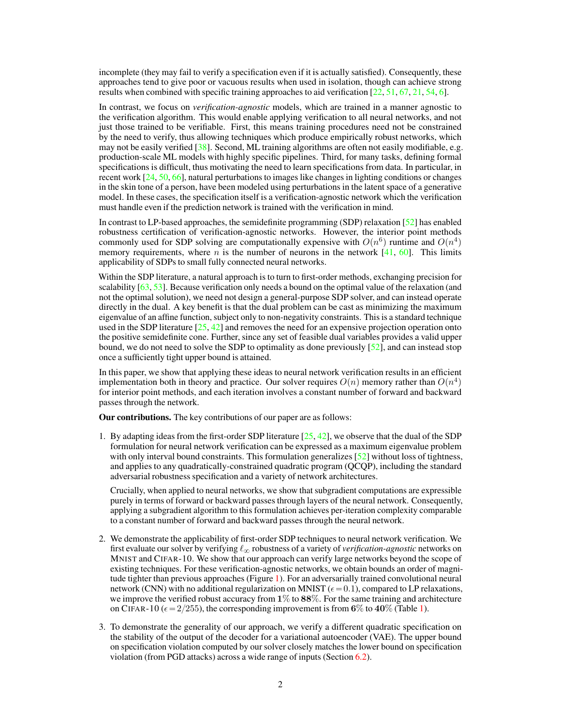incomplete (they may fail to verify a specification even if it is actually satisfied). Consequently, these approaches tend to give poor or vacuous results when used in isolation, though can achieve strong results when combined with specific training approaches to aid verification [\[22,](#page-11-5) [51,](#page-12-3) [67,](#page-13-2) [21,](#page-11-4) [54,](#page-13-3) [6\]](#page-10-3).

In contrast, we focus on *verification-agnostic* models, which are trained in a manner agnostic to the verification algorithm. This would enable applying verification to all neural networks, and not just those trained to be verifiable. First, this means training procedures need not be constrained by the need to verify, thus allowing techniques which produce empirically robust networks, which may not be easily verified [\[38\]](#page-12-4). Second, ML training algorithms are often not easily modifiable, e.g. production-scale ML models with highly specific pipelines. Third, for many tasks, defining formal specifications is difficult, thus motivating the need to learn specifications from data. In particular, in recent work [\[24,](#page-11-6) [50,](#page-12-5) [66\]](#page-13-4), natural perturbations to images like changes in lighting conditions or changes in the skin tone of a person, have been modeled using perturbations in the latent space of a generative model. In these cases, the specification itself is a verification-agnostic network which the verification must handle even if the prediction network is trained with the verification in mind.

In contrast to LP-based approaches, the semidefinite programming (SDP) relaxation  $[52]$  has enabled robustness certification of verification-agnostic networks. However, the interior point methods commonly used for SDP solving are computationally expensive with  $O(n^6)$  runtime and  $O(n^4)$ memory requirements, where n is the number of neurons in the network  $[41, 60]$  $[41, 60]$  $[41, 60]$ . This limits applicability of SDPs to small fully connected neural networks.

Within the SDP literature, a natural approach is to turn to first-order methods, exchanging precision for scalability [\[63,](#page-13-6) [53\]](#page-13-7). Because verification only needs a bound on the optimal value of the relaxation (and not the optimal solution), we need not design a general-purpose SDP solver, and can instead operate directly in the dual. A key benefit is that the dual problem can be cast as minimizing the maximum eigenvalue of an affine function, subject only to non-negativity constraints. This is a standard technique used in the SDP literature  $[25, 42]$  $[25, 42]$  $[25, 42]$  and removes the need for an expensive projection operation onto the positive semidefinite cone. Further, since any set of feasible dual variables provides a valid upper bound, we do not need to solve the SDP to optimality as done previously  $\lceil 52 \rceil$ , and can instead stop once a sufficiently tight upper bound is attained.

In this paper, we show that applying these ideas to neural network verification results in an efficient implementation both in theory and practice. Our solver requires  $O(n)$  memory rather than  $O(n^4)$ for interior point methods, and each iteration involves a constant number of forward and backward passes through the network.

Our contributions. The key contributions of our paper are as follows:

1. By adapting ideas from the first-order SDP literature  $[25, 42]$  $[25, 42]$  $[25, 42]$ , we observe that the dual of the SDP formulation for neural network verification can be expressed as a maximum eigenvalue problem with only interval bound constraints. This formulation generalizes [\[52\]](#page-12-6) without loss of tightness, and applies to any quadratically-constrained quadratic program (QCQP), including the standard adversarial robustness specification and a variety of network architectures.

Crucially, when applied to neural networks, we show that subgradient computations are expressible purely in terms of forward or backward passes through layers of the neural network. Consequently, applying a subgradient algorithm to this formulation achieves per-iteration complexity comparable to a constant number of forward and backward passes through the neural network.

- 2. We demonstrate the applicability of first-order SDP techniques to neural network verification. We first evaluate our solver by verifying  $\ell_{\infty}$  robustness of a variety of *verification-agnostic* networks on MNIST and CIFAR-10. We show that our approach can verify large networks beyond the scope of existing techniques. For these verification-agnostic networks, we obtain bounds an order of magnitude tighter than previous approaches (Figure [1\)](#page-7-0). For an adversarially trained convolutional neural network (CNN) with no additional regularization on MNIST ( $\epsilon$  = 0.1), compared to LP relaxations, we improve the verified robust accuracy from  $1\%$  to  $88\%$ . For the same training and architecture on CIFAR-10 ( $\epsilon = 2/255$ ), the corresponding improvement is from 6% to 40% (Table [1\)](#page-7-1).
- 3. To demonstrate the generality of our approach, we verify a different quadratic specification on the stability of the output of the decoder for a variational autoencoder (VAE). The upper bound on specification violation computed by our solver closely matches the lower bound on specification violation (from PGD attacks) across a wide range of inputs (Section [6.2\)](#page-8-0).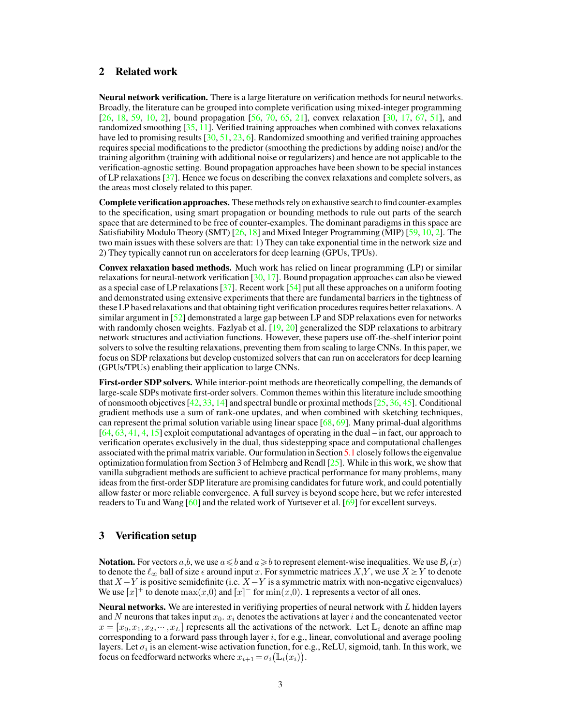# 2 Related work

Neural network verification. There is a large literature on verification methods for neural networks. Broadly, the literature can be grouped into complete verification using mixed-integer programming [\[26,](#page-11-8) [18,](#page-11-2) [59,](#page-13-8) [10,](#page-10-4) [2\]](#page-10-5), bound propagation [\[56,](#page-13-9) [70,](#page-13-10) [65,](#page-13-11) [21\]](#page-11-4), convex relaxation [\[30,](#page-11-3) [17,](#page-10-6) [67,](#page-13-2) [51\]](#page-12-3), and randomized smoothing [\[35,](#page-12-9) [11\]](#page-10-7). Verified training approaches when combined with convex relaxations have led to promising results [\[30,](#page-11-3) [51,](#page-12-3) [23,](#page-11-9) [6\]](#page-10-3). Randomized smoothing and verified training approaches requires special modifications to the predictor (smoothing the predictions by adding noise) and/or the training algorithm (training with additional noise or regularizers) and hence are not applicable to the verification-agnostic setting. Bound propagation approaches have been shown to be special instances of LP relaxations [\[37\]](#page-12-2). Hence we focus on describing the convex relaxations and complete solvers, as the areas most closely related to this paper.

Complete verification approaches. These methods rely on exhaustive search to find counter-examples to the specification, using smart propagation or bounding methods to rule out parts of the search space that are determined to be free of counter-examples. The dominant paradigms in this space are Satisfiability Modulo Theory (SMT) [\[26,](#page-11-8) [18\]](#page-11-2) and Mixed Integer Programming (MIP) [\[59,](#page-13-8) [10,](#page-10-4) [2\]](#page-10-5). The two main issues with these solvers are that: 1) They can take exponential time in the network size and 2) They typically cannot run on accelerators for deep learning (GPUs, TPUs).

Convex relaxation based methods. Much work has relied on linear programming (LP) or similar relaxations for neural-network verification  $[30, 17]$  $[30, 17]$  $[30, 17]$ . Bound propagation approaches can also be viewed as a special case of LP relaxations [\[37\]](#page-12-2). Recent work [\[54\]](#page-13-3) put all these approaches on a uniform footing and demonstrated using extensive experiments that there are fundamental barriers in the tightness of these LP based relaxations and that obtaining tight verification procedures requires better relaxations. A similar argument in [\[52\]](#page-12-6) demonstrated a large gap between LP and SDP relaxations even for networks with randomly chosen weights. Fazlyab et al. [\[19,](#page-11-10) [20\]](#page-11-11) generalized the SDP relaxations to arbitrary network structures and activiation functions. However, these papers use off-the-shelf interior point solvers to solve the resulting relaxations, preventing them from scaling to large CNNs. In this paper, we focus on SDP relaxations but develop customized solvers that can run on accelerators for deep learning (GPUs/TPUs) enabling their application to large CNNs.

First-order SDP solvers. While interior-point methods are theoretically compelling, the demands of large-scale SDPs motivate first-order solvers. Common themes within this literature include smoothing of nonsmooth objectives  $[42, 33, 14]$  $[42, 33, 14]$  $[42, 33, 14]$  $[42, 33, 14]$  $[42, 33, 14]$  and spectral bundle or proximal methods  $[25, 36, 45]$  $[25, 36, 45]$  $[25, 36, 45]$  $[25, 36, 45]$  $[25, 36, 45]$ . Conditional gradient methods use a sum of rank-one updates, and when combined with sketching techniques, can represent the primal solution variable using linear space [\[68,](#page-13-12) [69\]](#page-13-13). Many primal-dual algorithms [\[64,](#page-13-14) [63,](#page-13-6) [41,](#page-12-7) [4,](#page-10-9) [15\]](#page-10-10) exploit computational advantages of operating in the dual – in fact, our approach to verification operates exclusively in the dual, thus sidestepping space and computational challenges associated with the primal matrix variable. Our formulation in Section [5.1](#page-4-0) closely follows the eigenvalue optimization formulation from Section 3 of Helmberg and Rendl  $[25]$ . While in this work, we show that vanilla subgradient methods are sufficient to achieve practical performance for many problems, many ideas from the first-order SDP literature are promising candidates for future work, and could potentially allow faster or more reliable convergence. A full survey is beyond scope here, but we refer interested readers to Tu and Wang [\[60\]](#page-13-5) and the related work of Yurtsever et al. [\[69\]](#page-13-13) for excellent surveys.

# 3 Verification setup

**Notation.** For vectors  $a, b$ , we use  $a \leq b$  and  $a \geq b$  to represent element-wise inequalities. We use  $B_{\epsilon}(x)$ to denote the  $\ell_{\infty}$  ball of size  $\epsilon$  around input x. For symmetric matrices X,Y, we use  $X \geq Y$  to denote that  $X-Y$  is positive semidefinite (i.e.  $X-Y$  is a symmetric matrix with non-negative eigenvalues) We use  $[x]^+$  to denote  $\max(x,0)$  and  $[x]^-$  for  $\min(x,0)$ . 1 represents a vector of all ones.

**Neural networks.** We are interested in verifiying properties of neural network with  $L$  hidden layers and N neurons that takes input  $x_0$ .  $x_i$  denotes the activations at layer i and the concantenated vector  $x = [x_0, x_1, x_2, \dots, x_L]$  represents all the activations of the network. Let  $\mathbb{L}_i$  denote an affine map corresponding to a forward pass through layer  $i$ , for e.g., linear, convolutional and average pooling layers. Let  $\sigma_i$  is an element-wise activation function, for e.g., ReLU, sigmoid, tanh. In this work, we focus on feedforward networks where  $x_{i+1} = \sigma_i \big( \mathbb{L}_i(x_i) \big)$ .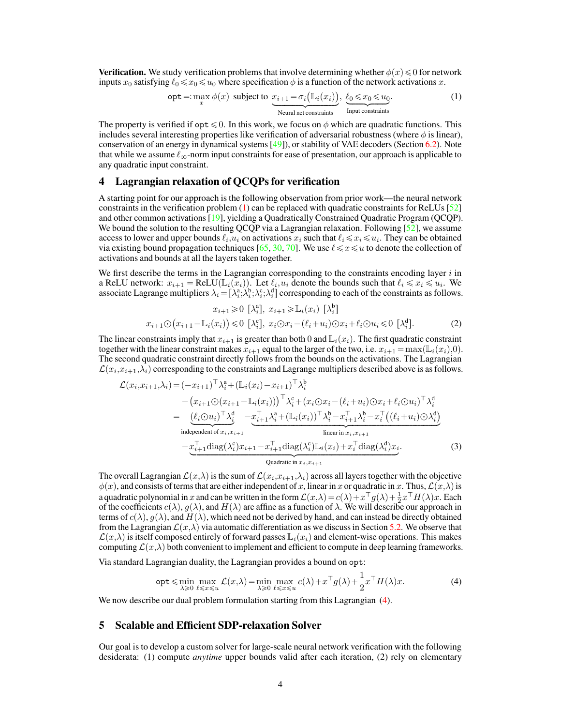**Verification.** We study verification problems that involve determining whether  $\phi(x) \leq 0$  for network inputs  $x_0$  satisfying  $\ell_0 \le x_0 \le u_0$  where specification  $\phi$  is a function of the network activations x.

<span id="page-3-0"></span>
$$
\text{opt} =: \max_{x} \phi(x) \text{ subject to } \underbrace{x_{i+1} = \sigma_i(\mathbb{L}_i(x_i))}_{\text{Neural net constraints}}, \underbrace{\ell_0 \leq x_0 \leq u_0}_{\text{Input constraints}}.
$$
 (1)

The property is verified if opt  $\leq 0$ . In this work, we focus on  $\phi$  which are quadratic functions. This includes several interesting properties like verification of adversarial robustness (where  $\phi$  is linear), conservation of an energy in dynamical systems [\[49\]](#page-12-1)), or stability of VAE decoders (Section [6.2\)](#page-8-0). Note that while we assume  $\ell_{\infty}$ -norm input constraints for ease of presentation, our approach is applicable to any quadratic input constraint.

# <span id="page-3-2"></span>4 Lagrangian relaxation of QCQPs for verification

A starting point for our approach is the following observation from prior work—the neural network constraints in the verification problem  $(1)$  can be replaced with quadratic constraints for ReLUs  $[52]$ and other common activations [\[19\]](#page-11-10), yielding a Quadratically Constrained Quadratic Program (QCQP). We bound the solution to the resulting QCQP via a Lagrangian relaxation. Following  $[52]$ , we assume access to lower and upper bounds  $\ell_i, u_i$  on activations  $x_i$  such that  $\ell_i \leqslant x_i \leqslant u_i$ . They can be obtained via existing bound propagation techniques [\[65,](#page-13-11) [30,](#page-11-3) [70\]](#page-13-10). We use  $\ell \leq x \leq u$  to denote the collection of activations and bounds at all the layers taken together.

We first describe the terms in the Lagrangian corresponding to the constraints encoding layer  $i$  in a ReLU network:  $x_{i+1} = \text{ReLU}(\mathbb{L}_i(x_i))$ . Let  $\ell_i, u_i$  denote the bounds such that  $\ell_i \leq x_i \leq u_i$ . We associate Lagrange multipliers  $\lambda_i = [\lambda_i^a; \lambda_i^b; \lambda_i^c; \lambda_i^d]$  corresponding to each of the constraints as follows.

$$
x_{i+1} \geq 0 \quad \left[\lambda_i^a\right], \quad x_{i+1} \geq \mathbb{L}_i(x_i) \quad \left[\lambda_i^b\right]
$$
\n
$$
x_{i+1} \ominus \left(x_{i+1} - \mathbb{L}_i(x_i)\right) \leq 0 \quad \left[\lambda_i^c\right], \quad x_i \ominus x_i - \left(\ell_i + u_i\right) \ominus x_i + \ell_i \ominus u_i \leq 0 \quad \left[\lambda_i^d\right].\tag{2}
$$

The linear constraints imply that  $x_{i+1}$  is greater than both 0 and  $\mathbb{L}_i(x_i)$ . The first quadratic constraint together with the linear constraint makes  $x_{i+1}$  equal to the larger of the two, i.e.  $x_{i+1} = \max(\mathbb{L}_i(x_i),0)$ . The second quadratic constraint directly follows from the bounds on the activations. The Lagrangian  $\mathcal{L}(x_i, x_{i+1}, \lambda_i)$  corresponding to the constraints and Lagrange multipliers described above is as follows.

$$
\mathcal{L}(x_i, x_{i+1}, \lambda_i) = (-x_{i+1})^\top \lambda_i^a + (\mathbb{L}_i(x_i) - x_{i+1})^\top \lambda_i^b
$$
  
+ 
$$
(x_{i+1} \odot (x_{i+1} - \mathbb{L}_i(x_i)))^\top \lambda_i^c + (x_i \odot x_i - (\ell_i + u_i) \odot x_i + \ell_i \odot u_i)^\top \lambda_i^d
$$
  
= 
$$
\underbrace{(\ell_i \odot u_i)^\top \lambda_i^d}_{\text{independent of } x_i, x_{i+1}} - x_{i+1}^\top \lambda_i^a + (\mathbb{L}_i(x_i))^\top \lambda_i^b - x_{i+1}^\top \lambda_i^b - x_i^\top ((\ell_i + u_i) \odot \lambda_i^d)}_{\text{linear in } x_i, x_{i+1}}
$$
  
+ 
$$
x_{i+1}^\top \text{diag}(\lambda_i^c) x_{i+1} - x_{i+1}^\top \text{diag}(\lambda_i^c) \mathbb{L}_i(x_i) + x_i^\top \text{diag}(\lambda_i^d) x_i.
$$
  
Quadratic in  $x_i, x_{i+1}$  (3)

The overall Lagrangian  $\mathcal{L}(x,\lambda)$  is the sum of  $\mathcal{L}(x_i,x_{i+1},\lambda_i)$  across all layers together with the objective  $\phi(x)$ , and consists of terms that are either independent of x, linear in x or quadratic in x. Thus,  $\mathcal{L}(x,\lambda)$  is a quadratic polynomial in x and can be written in the form  $\mathcal{L}(x,\lambda) = c(\lambda) + x^\top g(\lambda) + \frac{1}{2}x^\top H(\lambda)x$ . Each of the coefficients  $c(\lambda)$ ,  $g(\lambda)$ , and  $H(\lambda)$  are affine as a function of  $\lambda$ . We will describe our approach in terms of  $c(\lambda)$ ,  $g(\lambda)$ , and  $H(\lambda)$ , which need not be derived by hand, and can instead be directly obtained from the Lagrangian  $\mathcal{L}(x,\lambda)$  via automatic differentiation as we discuss in Section [5.2.](#page-4-1) We observe that  $\mathcal{L}(x,\lambda)$  is itself composed entirely of forward passes  $\mathbb{L}_i(x_i)$  and element-wise operations. This makes computing  $\mathcal{L}(x,\lambda)$  both convenient to implement and efficient to compute in deep learning frameworks.

Via standard Lagrangian duality, the Lagrangian provides a bound on opt:

<span id="page-3-3"></span><span id="page-3-1"></span>
$$
\operatorname{opt} \leqslant \min_{\lambda \geqslant 0} \max_{\ell \leqslant x \leqslant u} \mathcal{L}(x,\lambda) = \min_{\lambda \geqslant 0} \max_{\ell \leqslant x \leqslant u} c(\lambda) + x^{\top} g(\lambda) + \frac{1}{2} x^{\top} H(\lambda) x. \tag{4}
$$

We now describe our dual problem formulation starting from this Lagrangian  $(4)$ .

# 5 Scalable and Efficient SDP-relaxation Solver

Our goal is to develop a custom solver for large-scale neural network verification with the following desiderata: (1) compute *anytime* upper bounds valid after each iteration, (2) rely on elementary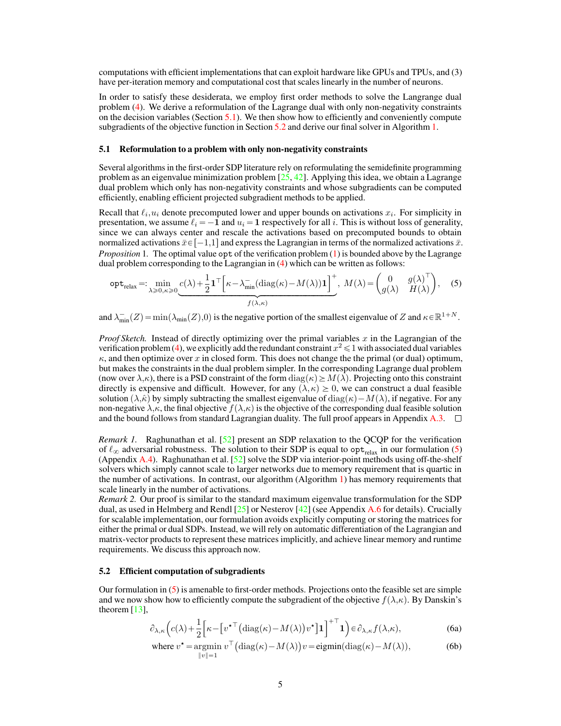computations with efficient implementations that can exploit hardware like GPUs and TPUs, and (3) have per-iteration memory and computational cost that scales linearly in the number of neurons.

In order to satisfy these desiderata, we employ first order methods to solve the Langrange dual problem [\(4\)](#page-3-1). We derive a reformulation of the Lagrange dual with only non-negativity constraints on the decision variables (Section  $5.1$ ). We then show how to efficiently and conveniently compute subgradients of the objective function in Section [5.2](#page-4-1) and derive our final solver in Algorithm [1.](#page-6-0)

#### <span id="page-4-0"></span>5.1 Reformulation to a problem with only non-negativity constraints

Several algorithms in the first-order SDP literature rely on reformulating the semidefinite programming problem as an eigenvalue minimization problem  $[25, 42]$  $[25, 42]$  $[25, 42]$ . Applying this idea, we obtain a Lagrange dual problem which only has non-negativity constraints and whose subgradients can be computed efficiently, enabling efficient projected subgradient methods to be applied.

Recall that  $\ell_i, u_i$  denote precomputed lower and upper bounds on activations  $x_i$ . For simplicity in presentation, we assume  $\ell_i = -1$  and  $u_i = 1$  respectively for all i. This is without loss of generality, since we can always center and rescale the activations based on precomputed bounds to obtain normalized activations  $\bar{x} \in [-1,1]$  and express the Lagrangian in terms of the normalized activations  $\bar{x}$ . *Proposition* 1. The optimal value opt of the verification problem [\(1\)](#page-3-0) is bounded above by the Lagrange

<span id="page-4-5"></span><span id="page-4-2"></span>dual problem corresponding to the Lagrangian in (4) which can be written as follows:  
\n
$$
\text{opt}_{\text{relax}} =: \min_{\lambda \ge 0, \kappa \ge 0} \underbrace{c(\lambda) + \frac{1}{2} \mathbf{1}^\top \Big[ \kappa - \lambda_{\min}^- (\text{diag}(\kappa) - M(\lambda)) \mathbf{1} \Big]^+}_{f(\lambda, \kappa)}, \quad M(\lambda) = \begin{pmatrix} 0 & g(\lambda)^\top \\ g(\lambda) & H(\lambda) \end{pmatrix}, \quad (5)
$$

and  $\lambda_{\min}^{-}(Z) = \min(\lambda_{\min}(Z), 0)$  is the negative portion of the smallest eigenvalue of Z and  $\kappa \in \mathbb{R}^{1+N}$ .

*Proof Sketch.* Instead of directly optimizing over the primal variables  $x$  in the Lagrangian of the verification problem [\(4\)](#page-3-1), we explicitly add the redundant constraint  $x^2 \leq 1$  with associated dual variables  $\kappa$ , and then optimize over x in closed form. This does not change the the primal (or dual) optimum, but makes the constraints in the dual problem simpler. In the corresponding Lagrange dual problem (now over  $\lambda,\kappa$ ), there is a PSD constraint of the form  $\text{diag}(\kappa) \geq M(\lambda)$ . Projecting onto this constraint directly is expensive and difficult. However, for any  $(\lambda, \kappa) \geq 0$ , we can construct a dual feasible solution  $(\lambda,\hat{\kappa})$  by simply subtracting the smallest eigenvalue of diag $(\kappa)-M(\lambda)$ , if negative. For any non-negative  $\lambda, \kappa$ , the final objective  $f(\lambda, \kappa)$  is the objective of the corresponding dual feasible solution and the bound follows from standard Lagrangian duality. The full proof appears in Appendix  $A.3.$ 

*Remark 1.* Raghunathan et al. [\[52\]](#page-12-6) present an SDP relaxation to the QCQP for the verification of  $\ell_{\infty}$  adversarial robustness. The solution to their SDP is equal to opt<sub>relax</sub> in our formulation [\(5\)](#page-4-2) (Appendix [A.4\)](#page-15-0). Raghunathan et al.  $[52]$  solve the SDP via interior-point methods using off-the-shelf solvers which simply cannot scale to larger networks due to memory requirement that is quartic in the number of activations. In contrast, our algorithm (Algorithm [1\)](#page-6-0) has memory requirements that scale linearly in the number of activations.

*Remark 2.* Our proof is similar to the standard maximum eigenvalue transformulation for the SDP dual, as used in Helmberg and Rendl  $[25]$  or Nesterov  $[42]$  (see Appendix [A.6](#page-17-0) for details). Crucially for scalable implementation, our formulation avoids explicitly computing or storing the matrices for either the primal or dual SDPs. Instead, we will rely on automatic differentiation of the Lagrangian and matrix-vector products to represent these matrices implicitly, and achieve linear memory and runtime requirements. We discuss this approach now.

#### <span id="page-4-1"></span>5.2 Efficient computation of subgradients

Our formulation in [\(5\)](#page-4-2) is amenable to first-order methods. Projections onto the feasible set are simple and we now show how to efficiently compute the subgradient of the objective  $f(\lambda,\kappa)$ . By Danskin's theorem  $[13]$ ,

$$
\partial_{\lambda,\kappa} \left( c(\lambda) + \frac{1}{2} \Big[ \kappa - \big[ v^{\star \top} \big( \mathrm{diag}(\kappa) - M(\lambda) \big) v^{\star} \big] \mathbf{1} \right]^{+ \top} \mathbf{1} \right) \in \partial_{\lambda,\kappa} f(\lambda,\kappa),\tag{6a}
$$

<span id="page-4-4"></span><span id="page-4-3"></span>where 
$$
v^* = \operatorname*{argmin}_{\|v\|=1} v^\top (\operatorname{diag}(\kappa) - M(\lambda)) v = \operatorname*{eigmin}(\operatorname{diag}(\kappa) - M(\lambda)),
$$
 (6b)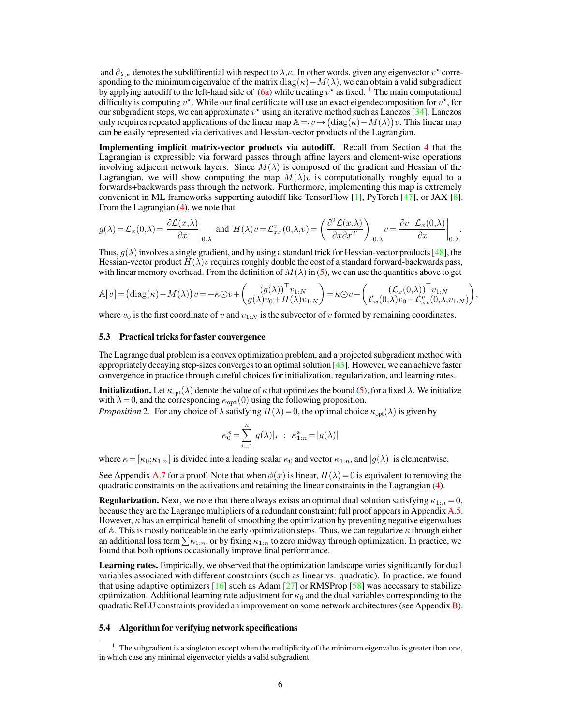and  $\partial_{\lambda,\kappa}$  denotes the subdiffirential with respect to  $\lambda,\kappa$ . In other words, given any eigenvector  $v^*$  corresponding to the minimum eigenvalue of the matrix diag( $\kappa$ ) –  $M(\lambda)$ , we can obtain a valid subgradient by applying autodiff to the left-hand side of  $(6a)$  while treating  $v^*$  as fixed. <sup>[1](#page-0-0)</sup> The main computational difficulty is computing  $v^*$ . While our final certificate will use an exact eigendecomposition for  $v^*$ , for our subgradient steps, we can approximate  $v^*$  using an iterative method such as Lanczos [\[34\]](#page-12-12). Lanczos only requires repeated applications of the linear map  $\mathbb{A} = v \mapsto (\text{diag}(\kappa) - M(\lambda))v$ . This linear map can be easily represented via derivatives and Hessian-vector products of the Lagrangian.

Implementing implicit matrix-vector products via autodiff. Recall from Section [4](#page-3-2) that the Lagrangian is expressible via forward passes through affine layers and element-wise operations involving adjacent network layers. Since  $M(\lambda)$  is composed of the gradient and Hessian of the Lagrangian, we will show computing the map  $M(\lambda)v$  is computationally roughly equal to a forwards+backwards pass through the network. Furthermore, implementing this map is extremely convenient in ML frameworks supporting autodiff like TensorFlow [\[1\]](#page-10-12), PyTorch [\[47\]](#page-12-13), or JAX [\[8\]](#page-10-13). From the Lagrangian  $(4)$ , we note that ˙ˇ

$$
g(\lambda) = \mathcal{L}_x(0,\lambda) = \frac{\partial \mathcal{L}(x,\lambda)}{\partial x}\bigg|_{0,\lambda} \text{ and } H(\lambda)v = \mathcal{L}_{xx}^v(0,\lambda,v) = \left(\frac{\partial^2 \mathcal{L}(x,\lambda)}{\partial x \partial x^T}\right)\bigg|_{0,\lambda} v = \frac{\partial v^\top \mathcal{L}_x(0,\lambda)}{\partial x}\bigg|_{0,\lambda}.
$$

Thus,  $g(\lambda)$  involves a single gradient, and by using a standard trick for Hessian-vector products [\[48\]](#page-12-14), the Hessian-vector product  $H(\lambda)v$  requires roughly double the cost of a standard forward-backwards pass, with linear memory overhead. From the definition of  $M(\lambda)$  in [\(5\)](#page-4-2), we can use the quantities above to get

$$
\mathbb{A}[v] = (\text{diag}(\kappa) - M(\lambda))v = -\kappa \odot v + \begin{pmatrix} (g(\lambda))^{\top} v_{1:N} \\ g(\lambda)v_0 + H(\lambda)v_{1:N} \end{pmatrix} = \kappa \odot v - \begin{pmatrix} (\mathcal{L}_x(0,\lambda))^{\top} v_{1:N} \\ \mathcal{L}_x(0,\lambda)v_0 + \mathcal{L}_{xx}^v(0,\lambda,v_{1:N}) \end{pmatrix},
$$

where  $v_0$  is the first coordinate of v and  $v_{1:N}$  is the subvector of v formed by remaining coordinates.

## <span id="page-5-0"></span>5.3 Practical tricks for faster convergence

The Lagrange dual problem is a convex optimization problem, and a projected subgradient method with appropriately decaying step-sizes converges to an optimal solution [\[43\]](#page-12-15). However, we can achieve faster convergence in practice through careful choices for initialization, regularization, and learning rates.

**Initialization.** Let  $\kappa_{opt}(\lambda)$  denote the value of  $\kappa$  that optimizes the bound [\(5\)](#page-4-2), for a fixed  $\lambda$ . We initialize with  $\lambda = 0$ , and the corresponding  $\kappa_{\text{opt}}(0)$  using the following proposition.

*Proposition* 2. For any choice of  $\lambda$  satisfying  $H(\lambda) = 0$ , the optimal choice  $\kappa_{\text{opt}}(\lambda)$  is given by

$$
\kappa_0^* = \sum_{i=1}^n |g(\lambda)|_i \; ; \; \kappa_{1:n}^* = |g(\lambda)|
$$

where  $\kappa = [\kappa_{0}; \kappa_{1:n}]$  is divided into a leading scalar  $\kappa_{0}$  and vector  $\kappa_{1:n}$ , and  $|g(\lambda)|$  is elementwise.

See Appendix [A.7](#page-17-1) for a proof. Note that when  $\phi(x)$  is linear,  $H(\lambda) = 0$  is equivalent to removing the quadratic constraints on the activations and retaining the linear constraints in the Lagrangian [\(4\)](#page-3-1).

**Regularization.** Next, we note that there always exists an optimal dual solution satisfying  $\kappa_{1:n} = 0$ , because they are the Lagrange multipliers of a redundant constraint; full proof appears in Appendix [A.5.](#page-16-0) However,  $\kappa$  has an empirical benefit of smoothing the optimization by preventing negative eigenvalues of A. This is mostly noticeable in the early optimization steps. Thus, we can regularize  $\kappa$  through either of A. This is mostly noticeable in the early optimization steps. Thus, we can regularize  $\kappa$  through either an additional loss term  $\sum \kappa_{1:n}$ , or by fixing  $\kappa_{1:n}$  to zero midway through optimization. In practice, w found that both options occasionally improve final performance.

Learning rates. Empirically, we observed that the optimization landscape varies significantly for dual variables associated with different constraints (such as linear vs. quadratic). In practice, we found that using adaptive optimizers  $[16]$  such as Adam  $[27]$  or RMSProp  $[58]$  was necessary to stabilize optimization. Additional learning rate adjustment for  $\kappa_0$  and the dual variables corresponding to the quadratic ReLU constraints provided an improvement on some network architectures (see Appendix [B\)](#page-17-2).

#### 5.4 Algorithm for verifying network specifications

 $1$  The subgradient is a singleton except when the multiplicity of the minimum eigenvalue is greater than one, in which case any minimal eigenvector yields a valid subgradient.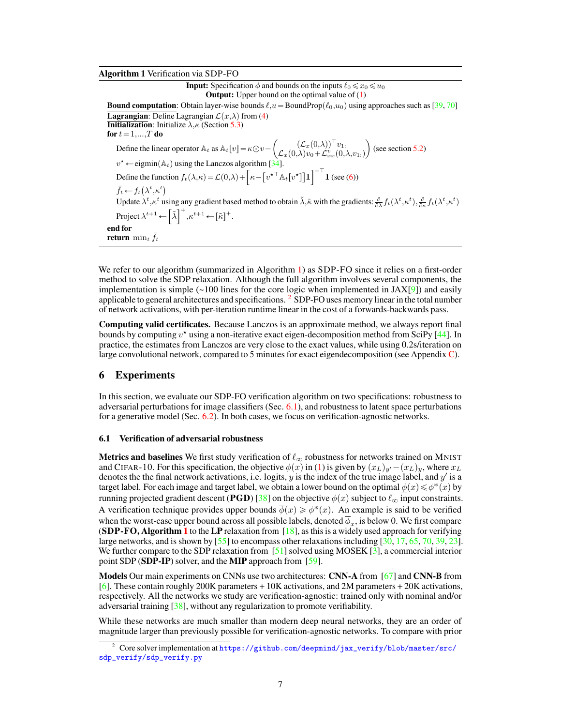Algorithm 1 Verification via SDP-FO

<span id="page-6-0"></span>**Input:** Specification  $\phi$  and bounds on the inputs  $\ell_0 \le x_0 \le u_0$ **Output:** Upper bound on the optimal value of  $(1)$ **Bound computation:** Obtain layer-wise bounds  $\ell, u = B$ oundProp $(\ell_0, u_0)$  using approaches such as [\[39,](#page-12-16) [70\]](#page-13-10) **Lagrangian:** Define Lagrangian  $\mathcal{L}(x,\lambda)$  from [\(4\)](#page-3-1) **Initialization**: Initialize  $\lambda, \kappa$  (Section [5.3\)](#page-5-0) for  $t = 1,...,T$  do Define the linear operator  $\mathbb{A}_t$  as  $\mathbb{A}_t[v] = \kappa \odot v$  –  $\left( \mathcal{L}_x(0,\lambda) \right)^\top v_1$  $\mathcal{L}_{x}(0,\! \lambda) v_{0} \!+\! \mathcal{L}_{xx}^{\psi}(0,\! \lambda,\! v_{1:})$ (see section [5.2\)](#page-4-1)  $v^* \leftarrow$  eigmin $(\mathbb{A}_t)$  using the Lanczos algorithm [\[34\]](#page-12-12).  $v \leftarrow \text{egmin}(\mathbb{A}_t)$  using the Lanczos algorithm<br>Define the function  $f_t(\lambda,\kappa) = \mathcal{L}(0,\lambda) + \left[\kappa - \frac{1}{2}\right]$ "  $v^{\star\top}$ At $[v^{\star}]$ ‰ 1  $\nu^+$ the function  $f_t(\lambda,\kappa) = \mathcal{L}(0,\lambda) + \left[\kappa - \left[v^{\star} \right] \mathbb{A}_t[v^{\star}] \right] \mathbf{1}$  (see [\(6\)](#page-4-4))  $\bar{f}_t \leftarrow f_t(\lambda^t, \kappa^t)$ Update  $\lambda^t, \kappa^t$  using any gradient based method to obtain  $\tilde{\lambda}, \tilde{\kappa}$  with the gradients:  $\frac{\partial}{\partial \lambda} f_t(\lambda^t, \kappa^t), \frac{\partial}{\partial \kappa} f_t(\lambda^t, \kappa^t)$ Project  $\lambda^{t+1} \leftarrow |\tilde{\lambda}|$ gau<br>า+  $\kappa^{t+1} \leftarrow [\tilde{\kappa}]^+.$ end for return  $\min_t \bar{f}_t$ 

We refer to our algorithm (summarized in Algorithm [1\)](#page-6-0) as SDP-FO since it relies on a first-order method to solve the SDP relaxation. Although the full algorithm involves several components, the implementation is simple  $(\sim 100$  lines for the core logic when implemented in JAX[\[9\]](#page-10-15)) and easily applicable to general architectures and specifications.  $2$  SDP-FO uses memory linear in the total number of network activations, with per-iteration runtime linear in the cost of a forwards-backwards pass.

Computing valid certificates. Because Lanczos is an approximate method, we always report final bounds by computing  $v^*$  using a non-iterative exact eigen-decomposition method from SciPy [\[44\]](#page-12-17). In practice, the estimates from Lanczos are very close to the exact values, while using 0.2s/iteration on large convolutional network, compared to 5 minutes for exact eigendecomposition (see Appendix  $C$ ).

# 6 Experiments

In this section, we evaluate our SDP-FO verification algorithm on two specifications: robustness to adversarial perturbations for image classifiers (Sec. [6.1\)](#page-6-1), and robustness to latent space perturbations for a generative model (Sec. [6.2\)](#page-8-0). In both cases, we focus on verification-agnostic networks.

## <span id="page-6-1"></span>6.1 Verification of adversarial robustness

**Metrics and baselines** We first study verification of  $\ell_{\infty}$  robustness for networks trained on MNIST and CIFAR-10. For this specification, the objective  $\phi(x)$  in [\(1\)](#page-3-0) is given by  $(x_L)_{y'} - (x_L)_y$ , where  $x_L$ denotes the the final network activations, i.e. logits,  $y$  is the index of the true image label, and  $y'$  is a target label. For each image and target label, we obtain a lower bound on the optimal  $\phi(x)$   $\leqslant$   $\phi^*(x)$  by running projected gradient descent (PGD) [\[38\]](#page-12-4) on the objective  $\phi(x)$  subject to  $\ell_{\infty}$  input constraints. A verification technique provides upper bounds  $\overline{\phi}(x) \geq \phi^*(x)$ . An example is said to be verified when the worst-case upper bound across all possible labels, denoted  $\phi_x$ , is below  $0.$  We first compare (SDP-FO, Algorithm [1](#page-6-0) to the LP relaxation from  $[18]$ , as this is a widely used approach for verifying large networks, and is shown by [\[55\]](#page-13-16) to encompass other relaxations including [\[30,](#page-11-3) [17,](#page-10-6) [65,](#page-13-11) [70,](#page-13-10) [39,](#page-12-16) [23\]](#page-11-9). We further compare to the SDP relaxation from [\[51\]](#page-12-3) solved using MOSEK [\[3\]](#page-10-16), a commercial interior point SDP (SDP-IP) solver, and the MIP approach from [\[59\]](#page-13-8).

Models Our main experiments on CNNs use two architectures: CNN-A from [\[67\]](#page-13-2) and CNN-B from [\[6\]](#page-10-3). These contain roughly 200K parameters + 10K activations, and 2M parameters + 20K activations, respectively. All the networks we study are verification-agnostic: trained only with nominal and/or adversarial training [\[38\]](#page-12-4), without any regularization to promote verifiability.

While these networks are much smaller than modern deep neural networks, they are an order of magnitude larger than previously possible for verification-agnostic networks. To compare with prior

<sup>&</sup>lt;sup>2</sup> Core solver implementation at [https://github.com/deepmind/jax\\_verify/blob/master/src/](https://github.com/deepmind/jax_verify/blob/master/src/sdp_verify/sdp_verify.py) [sdp\\_verify/sdp\\_verify.py](https://github.com/deepmind/jax_verify/blob/master/src/sdp_verify/sdp_verify.py)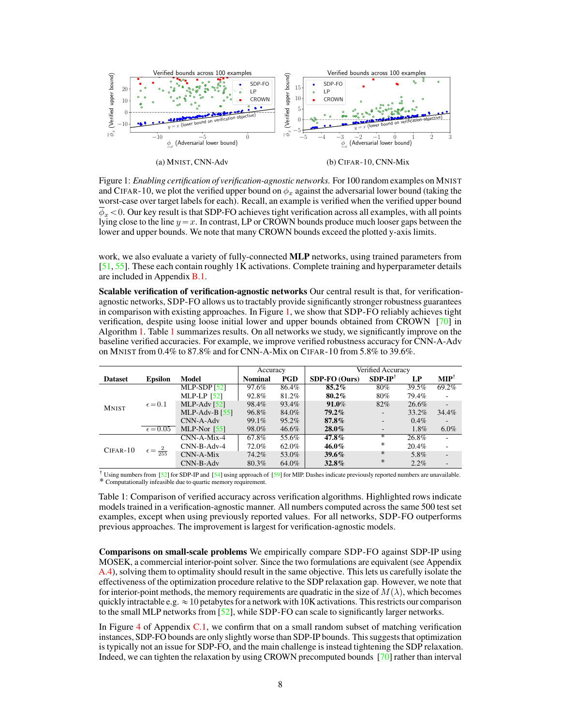<span id="page-7-0"></span>

Figure 1: *Enabling certification of verification-agnostic networks.* For 100 random examples on MNIST and CIFAR-10, we plot the verified upper bound on  $\phi_x$  against the adversarial lower bound (taking the worst-case over target labels for each). Recall, an example is verified when the verified upper bound  $\phi_x < 0$ . Our key result is that SDP-FO achieves tight verification across all examples, with all points lying close to the line  $y = x$ . In contrast, LP or CROWN bounds produce much looser gaps between the lower and upper bounds. We note that many CROWN bounds exceed the plotted y-axis limits.

work, we also evaluate a variety of fully-connected MLP networks, using trained parameters from [\[51,](#page-12-3) [55\]](#page-13-16). These each contain roughly 1K activations. Complete training and hyperparameter details are included in Appendix [B.1.](#page-17-3)

Scalable verification of verification-agnostic networks Our central result is that, for verificationagnostic networks, SDP-FO allows us to tractably provide significantly stronger robustness guarantees in comparison with existing approaches. In Figure [1,](#page-7-0) we show that SDP-FO reliably achieves tight verification, despite using loose initial lower and upper bounds obtained from CROWN [\[70\]](#page-13-10) in Algorithm [1.](#page-6-0) Table [1](#page-7-1) summarizes results. On all networks we study, we significantly improve on the baseline verified accuracies. For example, we improve verified robustness accuracy for CNN-A-Adv on MNIST from 0.4% to 87.8% and for CNN-A-Mix on CIFAR-10 from 5.8% to 39.6%.

<span id="page-7-1"></span>

|                |                          |                  | Accuracy       |            | Verified Accuracy |                          |         |                          |
|----------------|--------------------------|------------------|----------------|------------|-------------------|--------------------------|---------|--------------------------|
| <b>Dataset</b> | <b>Epsilon</b>           | Model            | <b>Nominal</b> | <b>PGD</b> | $SDP-FO (Ours)$   | $SDP-IP^{\dagger}$       | LP      | $\mathbf{MIP}^{\dagger}$ |
| <b>MNIST</b>   | $\epsilon = 0.1$         | MLP-SDP $[52]$   | 97.6%          | 86.4%      | $85.2\%$          | 80%                      | 39.5%   | 69.2%                    |
|                |                          | MLP-LP $[52]$    | 92.8%          | 81.2%      | 80.2%             | 80%                      | 79.4%   | ٠                        |
|                |                          | $MLP-Adv [52]$   | 98.4%          | 93.4%      | 91.0%             | 82%                      | 26.6%   |                          |
|                |                          | MLP-Adv-B $[55]$ | 96.8%          | 84.0%      | $79.2\%$          | $\overline{\phantom{a}}$ | 33.2%   | 34.4%                    |
|                |                          | $CNN-A-Adv$      | 99.1%          | 95.2%      | $87.8\%$          | ٠                        | $0.4\%$ |                          |
|                | $\epsilon = 0.05$        | MLP-Nor $[55]$   | 98.0%          | 46.6%      | $28.0\%$          | $\overline{\phantom{a}}$ | 1.8%    | $6.0\%$                  |
| $CIFAR-10$     | $\epsilon=\frac{2}{255}$ | $CNN-A-Mix-4$    | 67.8%          | 55.6%      | 47.8%             | ∗                        | 26.8%   |                          |
|                |                          | $CNN-B-Adv-4$    | 72.0%          | 62.0%      | 46.0%             | *                        | 20.4%   |                          |
|                |                          | $CNN-A-Mix$      | 74.2%          | 53.0%      | $39.6\%$          | ∗                        | 5.8%    | $\overline{\phantom{a}}$ |
|                |                          | $CNN-B-Adv$      | 80.3%          | 64.0%      | $32.8\%$          | $\ast$                   | $2.2\%$ |                          |

<sup>†</sup> Using numbers from [\[52\]](#page-12-6) for SDP-IP and [\[54\]](#page-13-3) using approach of [\[59\]](#page-13-8) for MIP. Dashes indicate previously reported numbers are unavailable. ˚ Computationally infeasible due to quartic memory requirement.

Table 1: Comparison of verified accuracy across verification algorithms. Highlighted rows indicate models trained in a verification-agnostic manner. All numbers computed across the same 500 test set examples, except when using previously reported values. For all networks, SDP-FO outperforms previous approaches. The improvement is largest for verification-agnostic models.

Comparisons on small-scale problems We empirically compare SDP-FO against SDP-IP using MOSEK, a commercial interior-point solver. Since the two formulations are equivalent (see Appendix [A.4\)](#page-15-0), solving them to optimality should result in the same objective. This lets us carefully isolate the effectiveness of the optimization procedure relative to the SDP relaxation gap. However, we note that for interior-point methods, the memory requirements are quadratic in the size of  $M(\lambda)$ , which becomes quickly intractable e.g.  $\approx$  10 petabytes for a network with 10K activations. This restricts our comparison to the small MLP networks from [\[52\]](#page-12-6), while SDP-FO can scale to significantly larger networks.

In Figure [4](#page-20-0) of Appendix [C.1,](#page-19-1) we confirm that on a small random subset of matching verification instances, SDP-FO bounds are only slightly worse than SDP-IP bounds. This suggests that optimization is typically not an issue for SDP-FO, and the main challenge is instead tightening the SDP relaxation. Indeed, we can tighten the relaxation by using CROWN precomputed bounds [\[70\]](#page-13-10) rather than interval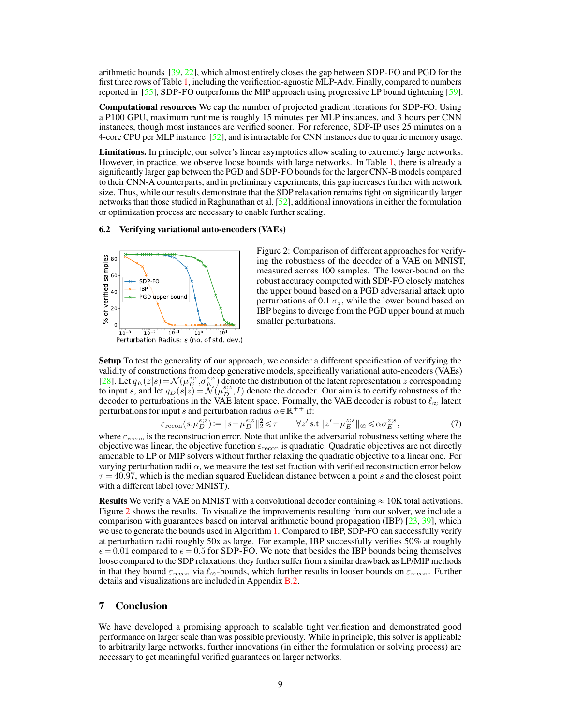arithmetic bounds [\[39,](#page-12-16) [22\]](#page-11-5), which almost entirely closes the gap between SDP-FO and PGD for the first three rows of Table [1,](#page-7-1) including the verification-agnostic MLP-Adv. Finally, compared to numbers reported in [\[55\]](#page-13-16), SDP-FO outperforms the MIP approach using progressive LP bound tightening [\[59\]](#page-13-8).

Computational resources We cap the number of projected gradient iterations for SDP-FO. Using a P100 GPU, maximum runtime is roughly 15 minutes per MLP instances, and 3 hours per CNN instances, though most instances are verified sooner. For reference, SDP-IP uses 25 minutes on a 4-core CPU per MLP instance [\[52\]](#page-12-6), and is intractable for CNN instances due to quartic memory usage.

Limitations. In principle, our solver's linear asymptotics allow scaling to extremely large networks. However, in practice, we observe loose bounds with large networks. In Table [1,](#page-7-1) there is already a significantly larger gap between the PGD and SDP-FO bounds for the larger CNN-B models compared to their CNN-A counterparts, and in preliminary experiments, this gap increases further with network size. Thus, while our results demonstrate that the SDP relaxation remains tight on significantly larger networks than those studied in Raghunathan et al.  $[52]$ , additional innovations in either the formulation or optimization process are necessary to enable further scaling.

#### <span id="page-8-0"></span>6.2 Verifying variational auto-encoders (VAEs)

<span id="page-8-1"></span>

<span id="page-8-2"></span>Figure 2: Comparison of different approaches for verifying the robustness of the decoder of a VAE on MNIST, measured across 100 samples. The lower-bound on the robust accuracy computed with SDP-FO closely matches the upper bound based on a PGD adversarial attack upto perturbations of 0.1  $\sigma_z$ , while the lower bound based on IBP begins to diverge from the PGD upper bound at much smaller perturbations.

Setup To test the generality of our approach, we consider a different specification of verifying the validity of constructions from deep generative models, specifically variational auto-encoders (VAEs) [\[28\]](#page-11-14). Let  $q_E(z|s) = \mathcal{N}(\mu_E^{z,s}, \sigma_E^{z,s})$  denote the distribution of the latent representation z corresponding to input s, and let  $q_D(s|z) = \mathcal{N}(\mu_D^{s,z}, I)$  denote the decoder. Our aim is to certify robustness of the decoder to perturbations in the VAE latent space. Formally, the VAE decoder is robust to  $\ell_{\infty}$  latent perturbations for input s and perturbation radius  $\alpha \in \mathbb{R}^{++}$  if:

$$
\varepsilon_{\text{recon}}(s,\mu_D^{s;z}) := \|s - \mu_D^{s;z}\|_2^2 \leq \tau \qquad \forall z' \text{ s.t } \|z' - \mu_E^{z;s}\|_{\infty} \leq \alpha \sigma_E^{z;s},\tag{7}
$$

where  $\varepsilon_{\text{recon}}$  is the reconstruction error. Note that unlike the adversarial robustness setting where the objective was linear, the objective function  $\varepsilon_{\text{recon}}$  is quadratic. Quadratic objectives are not directly amenable to LP or MIP solvers without further relaxing the quadratic objective to a linear one. For varying perturbation radii  $\alpha$ , we measure the test set fraction with verified reconstruction error below  $\tau = 40.97$ , which is the median squared Euclidean distance between a point s and the closest point with a different label (over MNIST).

**Results** We verify a VAE on MNIST with a convolutional decoder containing  $\approx 10$ K total activations. Figure [2](#page-8-1) shows the results. To visualize the improvements resulting from our solver, we include a comparison with guarantees based on interval arithmetic bound propagation (IBP)  $[23, 39]$  $[23, 39]$  $[23, 39]$ , which we use to generate the bounds used in Algorithm [1.](#page-6-0) Compared to IBP, SDP-FO can successfully verify at perturbation radii roughly 50x as large. For example, IBP successfully verifies 50% at roughly  $\epsilon = 0.01$  compared to  $\epsilon = 0.5$  for SDP-FO. We note that besides the IBP bounds being themselves loose compared to the SDP relaxations, they further suffer from a similar drawback as LP/MIP methods in that they bound  $\varepsilon_{\text{recon}}$  via  $\ell_{\infty}$ -bounds, which further results in looser bounds on  $\varepsilon_{\text{recon}}$ . Further details and visualizations are included in Appendix [B.2.](#page-18-0)

# 7 Conclusion

We have developed a promising approach to scalable tight verification and demonstrated good performance on larger scale than was possible previously. While in principle, this solver is applicable to arbitrarily large networks, further innovations (in either the formulation or solving process) are necessary to get meaningful verified guarantees on larger networks.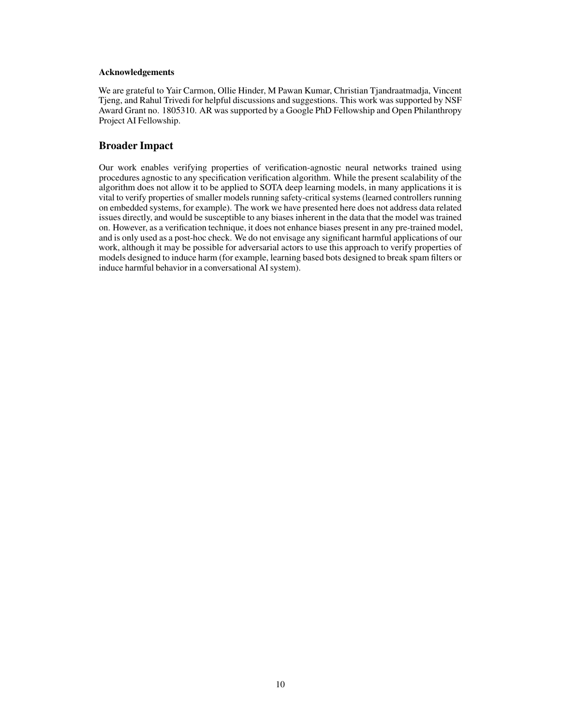## Acknowledgements

We are grateful to Yair Carmon, Ollie Hinder, M Pawan Kumar, Christian Tjandraatmadja, Vincent Tjeng, and Rahul Trivedi for helpful discussions and suggestions. This work was supported by NSF Award Grant no. 1805310. AR was supported by a Google PhD Fellowship and Open Philanthropy Project AI Fellowship.

# Broader Impact

Our work enables verifying properties of verification-agnostic neural networks trained using procedures agnostic to any specification verification algorithm. While the present scalability of the algorithm does not allow it to be applied to SOTA deep learning models, in many applications it is vital to verify properties of smaller models running safety-critical systems (learned controllers running on embedded systems, for example). The work we have presented here does not address data related issues directly, and would be susceptible to any biases inherent in the data that the model was trained on. However, as a verification technique, it does not enhance biases present in any pre-trained model, and is only used as a post-hoc check. We do not envisage any significant harmful applications of our work, although it may be possible for adversarial actors to use this approach to verify properties of models designed to induce harm (for example, learning based bots designed to break spam filters or induce harmful behavior in a conversational AI system).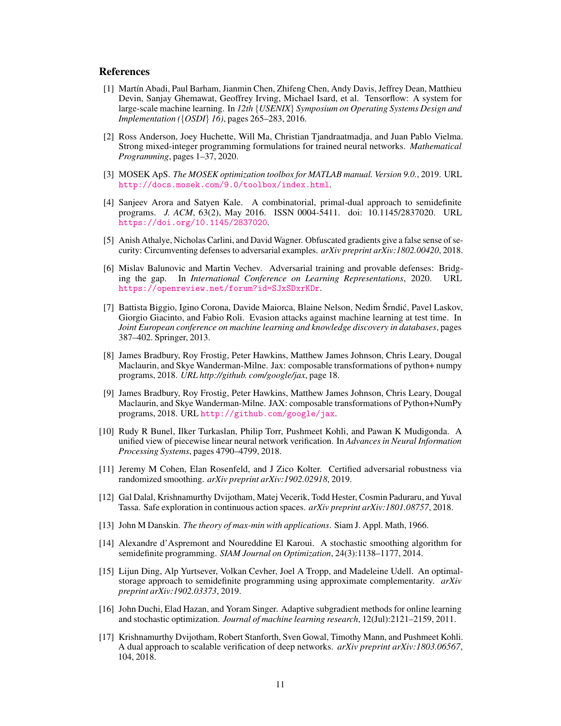## **References**

- <span id="page-10-12"></span>[1] Martín Abadi, Paul Barham, Jianmin Chen, Zhifeng Chen, Andy Davis, Jeffrey Dean, Matthieu Devin, Sanjay Ghemawat, Geoffrey Irving, Michael Isard, et al. Tensorflow: A system for large-scale machine learning. In *12th* {*USENIX*} *Symposium on Operating Systems Design and Implementation ({OSDI} 16)*, pages 265-283, 2016.
- <span id="page-10-5"></span>[2] Ross Anderson, Joey Huchette, Will Ma, Christian Tjandraatmadja, and Juan Pablo Vielma. Strong mixed-integer programming formulations for trained neural networks. *Mathematical Programming*, pages 1–37, 2020.
- <span id="page-10-16"></span>[3] MOSEK ApS. *The MOSEK optimization toolbox for MATLAB manual. Version 9.0.*, 2019. URL <http://docs.mosek.com/9.0/toolbox/index.html>.
- <span id="page-10-9"></span>[4] Sanjeev Arora and Satyen Kale. A combinatorial, primal-dual approach to semidefinite programs. *J. ACM*, 63(2), May 2016. ISSN 0004-5411. doi: 10.1145/2837020. URL <https://doi.org/10.1145/2837020>.
- <span id="page-10-2"></span>[5] Anish Athalye, Nicholas Carlini, and David Wagner. Obfuscated gradients give a false sense of security: Circumventing defenses to adversarial examples. *arXiv preprint arXiv:1802.00420*, 2018.
- <span id="page-10-3"></span>[6] Mislav Balunovic and Martin Vechev. Adversarial training and provable defenses: Bridging the gap. In *International Conference on Learning Representations*, 2020. URL <https://openreview.net/forum?id=SJxSDxrKDr>.
- <span id="page-10-1"></span>[7] Battista Biggio, Igino Corona, Davide Maiorca, Blaine Nelson, Nedim Šrndic, Pavel Laskov, ´ Giorgio Giacinto, and Fabio Roli. Evasion attacks against machine learning at test time. In *Joint European conference on machine learning and knowledge discovery in databases*, pages 387–402. Springer, 2013.
- <span id="page-10-13"></span>[8] James Bradbury, Roy Frostig, Peter Hawkins, Matthew James Johnson, Chris Leary, Dougal Maclaurin, and Skye Wanderman-Milne. Jax: composable transformations of python+ numpy programs, 2018. *URL http://github. com/google/jax*, page 18.
- <span id="page-10-15"></span>[9] James Bradbury, Roy Frostig, Peter Hawkins, Matthew James Johnson, Chris Leary, Dougal Maclaurin, and Skye Wanderman-Milne. JAX: composable transformations of Python+NumPy programs, 2018. URL <http://github.com/google/jax>.
- <span id="page-10-4"></span>[10] Rudy R Bunel, Ilker Turkaslan, Philip Torr, Pushmeet Kohli, and Pawan K Mudigonda. A unified view of piecewise linear neural network verification. In *Advances in Neural Information Processing Systems*, pages 4790–4799, 2018.
- <span id="page-10-7"></span>[11] Jeremy M Cohen, Elan Rosenfeld, and J Zico Kolter. Certified adversarial robustness via randomized smoothing. *arXiv preprint arXiv:1902.02918*, 2019.
- <span id="page-10-0"></span>[12] Gal Dalal, Krishnamurthy Dvijotham, Matej Vecerik, Todd Hester, Cosmin Paduraru, and Yuval Tassa. Safe exploration in continuous action spaces. *arXiv preprint arXiv:1801.08757*, 2018.
- <span id="page-10-11"></span>[13] John M Danskin. *The theory of max-min with applications*. Siam J. Appl. Math, 1966.
- <span id="page-10-8"></span>[14] Alexandre d'Aspremont and Noureddine El Karoui. A stochastic smoothing algorithm for semidefinite programming. *SIAM Journal on Optimization*, 24(3):1138–1177, 2014.
- <span id="page-10-10"></span>[15] Lijun Ding, Alp Yurtsever, Volkan Cevher, Joel A Tropp, and Madeleine Udell. An optimalstorage approach to semidefinite programming using approximate complementarity. *arXiv preprint arXiv:1902.03373*, 2019.
- <span id="page-10-14"></span>[16] John Duchi, Elad Hazan, and Yoram Singer. Adaptive subgradient methods for online learning and stochastic optimization. *Journal of machine learning research*, 12(Jul):2121–2159, 2011.
- <span id="page-10-6"></span>[17] Krishnamurthy Dvijotham, Robert Stanforth, Sven Gowal, Timothy Mann, and Pushmeet Kohli. A dual approach to scalable verification of deep networks. *arXiv preprint arXiv:1803.06567*, 104, 2018.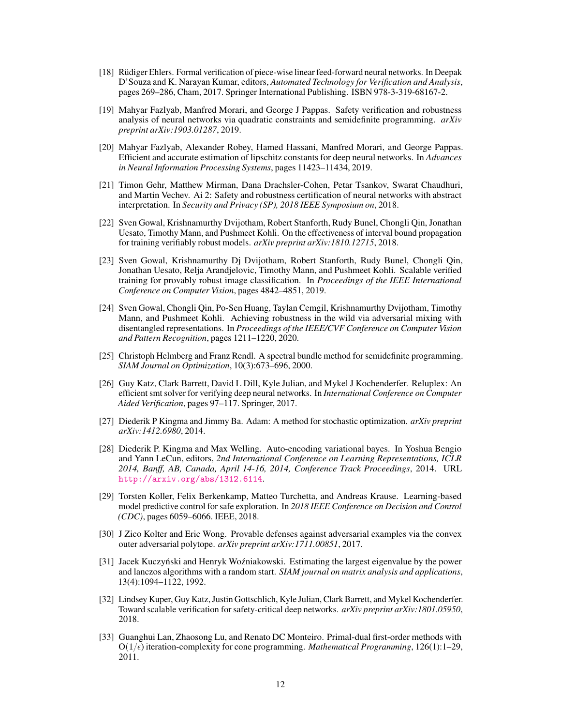- <span id="page-11-2"></span>[18] Rüdiger Ehlers. Formal verification of piece-wise linear feed-forward neural networks. In Deepak D'Souza and K. Narayan Kumar, editors, *Automated Technology for Verification and Analysis*, pages 269–286, Cham, 2017. Springer International Publishing. ISBN 978-3-319-68167-2.
- <span id="page-11-10"></span>[19] Mahyar Fazlyab, Manfred Morari, and George J Pappas. Safety verification and robustness analysis of neural networks via quadratic constraints and semidefinite programming. *arXiv preprint arXiv:1903.01287*, 2019.
- <span id="page-11-11"></span>[20] Mahyar Fazlyab, Alexander Robey, Hamed Hassani, Manfred Morari, and George Pappas. Efficient and accurate estimation of lipschitz constants for deep neural networks. In *Advances in Neural Information Processing Systems*, pages 11423–11434, 2019.
- <span id="page-11-4"></span>[21] Timon Gehr, Matthew Mirman, Dana Drachsler-Cohen, Petar Tsankov, Swarat Chaudhuri, and Martin Vechev. Ai 2: Safety and robustness certification of neural networks with abstract interpretation. In *Security and Privacy (SP), 2018 IEEE Symposium on*, 2018.
- <span id="page-11-5"></span>[22] Sven Gowal, Krishnamurthy Dvijotham, Robert Stanforth, Rudy Bunel, Chongli Qin, Jonathan Uesato, Timothy Mann, and Pushmeet Kohli. On the effectiveness of interval bound propagation for training verifiably robust models. *arXiv preprint arXiv:1810.12715*, 2018.
- <span id="page-11-9"></span>[23] Sven Gowal, Krishnamurthy Dj Dvijotham, Robert Stanforth, Rudy Bunel, Chongli Qin, Jonathan Uesato, Relja Arandjelovic, Timothy Mann, and Pushmeet Kohli. Scalable verified training for provably robust image classification. In *Proceedings of the IEEE International Conference on Computer Vision*, pages 4842–4851, 2019.
- <span id="page-11-6"></span>[24] Sven Gowal, Chongli Qin, Po-Sen Huang, Taylan Cemgil, Krishnamurthy Dvijotham, Timothy Mann, and Pushmeet Kohli. Achieving robustness in the wild via adversarial mixing with disentangled representations. In *Proceedings of the IEEE/CVF Conference on Computer Vision and Pattern Recognition*, pages 1211–1220, 2020.
- <span id="page-11-7"></span>[25] Christoph Helmberg and Franz Rendl. A spectral bundle method for semidefinite programming. *SIAM Journal on Optimization*, 10(3):673–696, 2000.
- <span id="page-11-8"></span>[26] Guy Katz, Clark Barrett, David L Dill, Kyle Julian, and Mykel J Kochenderfer. Reluplex: An efficient smt solver for verifying deep neural networks. In *International Conference on Computer Aided Verification*, pages 97–117. Springer, 2017.
- <span id="page-11-13"></span>[27] Diederik P Kingma and Jimmy Ba. Adam: A method for stochastic optimization. *arXiv preprint arXiv:1412.6980*, 2014.
- <span id="page-11-14"></span>[28] Diederik P. Kingma and Max Welling. Auto-encoding variational bayes. In Yoshua Bengio and Yann LeCun, editors, *2nd International Conference on Learning Representations, ICLR 2014, Banff, AB, Canada, April 14-16, 2014, Conference Track Proceedings*, 2014. URL <http://arxiv.org/abs/1312.6114>.
- <span id="page-11-1"></span>[29] Torsten Koller, Felix Berkenkamp, Matteo Turchetta, and Andreas Krause. Learning-based model predictive control for safe exploration. In *2018 IEEE Conference on Decision and Control (CDC)*, pages 6059–6066. IEEE, 2018.
- <span id="page-11-3"></span>[30] J Zico Kolter and Eric Wong. Provable defenses against adversarial examples via the convex outer adversarial polytope. *arXiv preprint arXiv:1711.00851*, 2017.
- <span id="page-11-15"></span>[31] Jacek Kuczyński and Henryk Woźniakowski. Estimating the largest eigenvalue by the power and lanczos algorithms with a random start. *SIAM journal on matrix analysis and applications*, 13(4):1094–1122, 1992.
- <span id="page-11-0"></span>[32] Lindsey Kuper, Guy Katz, Justin Gottschlich, Kyle Julian, Clark Barrett, and Mykel Kochenderfer. Toward scalable verification for safety-critical deep networks. *arXiv preprint arXiv:1801.05950*, 2018.
- <span id="page-11-12"></span>[33] Guanghui Lan, Zhaosong Lu, and Renato DC Monteiro. Primal-dual first-order methods with  $O(1/\epsilon)$  iteration-complexity for cone programming. *Mathematical Programming*, 126(1):1–29, 2011.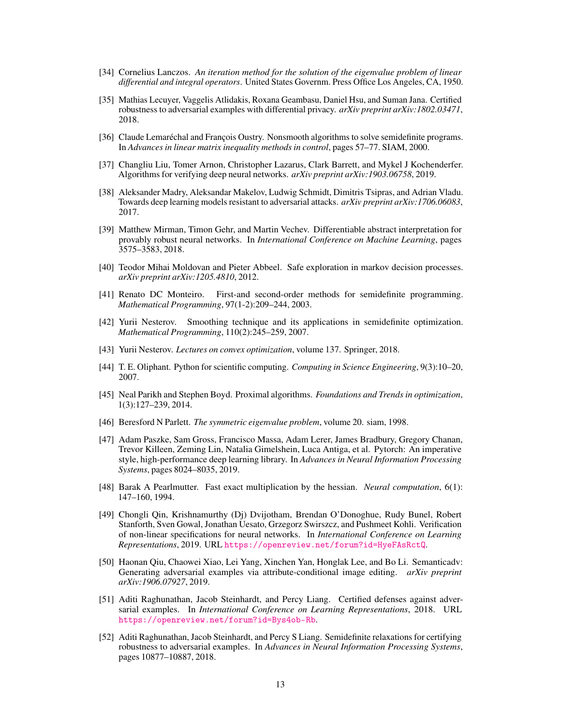- <span id="page-12-12"></span>[34] Cornelius Lanczos. *An iteration method for the solution of the eigenvalue problem of linear differential and integral operators*. United States Governm. Press Office Los Angeles, CA, 1950.
- <span id="page-12-9"></span>[35] Mathias Lecuyer, Vaggelis Atlidakis, Roxana Geambasu, Daniel Hsu, and Suman Jana. Certified robustness to adversarial examples with differential privacy. *arXiv preprint arXiv:1802.03471*, 2018.
- <span id="page-12-10"></span>[36] Claude Lemaréchal and François Oustry. Nonsmooth algorithms to solve semidefinite programs. In *Advances in linear matrix inequality methods in control*, pages 57–77. SIAM, 2000.
- <span id="page-12-2"></span>[37] Changliu Liu, Tomer Arnon, Christopher Lazarus, Clark Barrett, and Mykel J Kochenderfer. Algorithms for verifying deep neural networks. *arXiv preprint arXiv:1903.06758*, 2019.
- <span id="page-12-4"></span>[38] Aleksander Madry, Aleksandar Makelov, Ludwig Schmidt, Dimitris Tsipras, and Adrian Vladu. Towards deep learning models resistant to adversarial attacks. *arXiv preprint arXiv:1706.06083*, 2017.
- <span id="page-12-16"></span>[39] Matthew Mirman, Timon Gehr, and Martin Vechev. Differentiable abstract interpretation for provably robust neural networks. In *International Conference on Machine Learning*, pages 3575–3583, 2018.
- <span id="page-12-0"></span>[40] Teodor Mihai Moldovan and Pieter Abbeel. Safe exploration in markov decision processes. *arXiv preprint arXiv:1205.4810*, 2012.
- <span id="page-12-7"></span>[41] Renato DC Monteiro. First-and second-order methods for semidefinite programming. *Mathematical Programming*, 97(1-2):209–244, 2003.
- <span id="page-12-8"></span>[42] Yurii Nesterov. Smoothing technique and its applications in semidefinite optimization. *Mathematical Programming*, 110(2):245–259, 2007.
- <span id="page-12-15"></span>[43] Yurii Nesterov. *Lectures on convex optimization*, volume 137. Springer, 2018.
- <span id="page-12-17"></span>[44] T. E. Oliphant. Python for scientific computing. *Computing in Science Engineering*, 9(3):10–20, 2007.
- <span id="page-12-11"></span>[45] Neal Parikh and Stephen Boyd. Proximal algorithms. *Foundations and Trends in optimization*, 1(3):127–239, 2014.
- <span id="page-12-18"></span>[46] Beresford N Parlett. *The symmetric eigenvalue problem*, volume 20. siam, 1998.
- <span id="page-12-13"></span>[47] Adam Paszke, Sam Gross, Francisco Massa, Adam Lerer, James Bradbury, Gregory Chanan, Trevor Killeen, Zeming Lin, Natalia Gimelshein, Luca Antiga, et al. Pytorch: An imperative style, high-performance deep learning library. In *Advances in Neural Information Processing Systems*, pages 8024–8035, 2019.
- <span id="page-12-14"></span>[48] Barak A Pearlmutter. Fast exact multiplication by the hessian. *Neural computation*, 6(1): 147–160, 1994.
- <span id="page-12-1"></span>[49] Chongli Qin, Krishnamurthy (Dj) Dvijotham, Brendan O'Donoghue, Rudy Bunel, Robert Stanforth, Sven Gowal, Jonathan Uesato, Grzegorz Swirszcz, and Pushmeet Kohli. Verification of non-linear specifications for neural networks. In *International Conference on Learning Representations*, 2019. URL <https://openreview.net/forum?id=HyeFAsRctQ>.
- <span id="page-12-5"></span>[50] Haonan Qiu, Chaowei Xiao, Lei Yang, Xinchen Yan, Honglak Lee, and Bo Li. Semanticadv: Generating adversarial examples via attribute-conditional image editing. *arXiv preprint arXiv:1906.07927*, 2019.
- <span id="page-12-3"></span>[51] Aditi Raghunathan, Jacob Steinhardt, and Percy Liang. Certified defenses against adversarial examples. In *International Conference on Learning Representations*, 2018. URL <https://openreview.net/forum?id=Bys4ob-Rb>.
- <span id="page-12-6"></span>[52] Aditi Raghunathan, Jacob Steinhardt, and Percy S Liang. Semidefinite relaxations for certifying robustness to adversarial examples. In *Advances in Neural Information Processing Systems*, pages 10877–10887, 2018.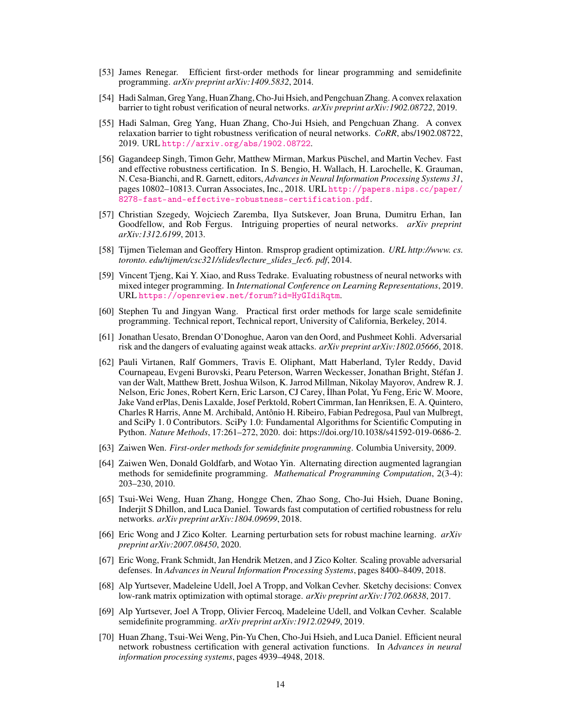- <span id="page-13-7"></span>[53] James Renegar. Efficient first-order methods for linear programming and semidefinite programming. *arXiv preprint arXiv:1409.5832*, 2014.
- <span id="page-13-3"></span>[54] Hadi Salman, Greg Yang, Huan Zhang, Cho-Jui Hsieh, and Pengchuan Zhang. A convex relaxation barrier to tight robust verification of neural networks. *arXiv preprint arXiv:1902.08722*, 2019.
- <span id="page-13-16"></span>[55] Hadi Salman, Greg Yang, Huan Zhang, Cho-Jui Hsieh, and Pengchuan Zhang. A convex relaxation barrier to tight robustness verification of neural networks. *CoRR*, abs/1902.08722, 2019. URL <http://arxiv.org/abs/1902.08722>.
- <span id="page-13-9"></span>[56] Gagandeep Singh, Timon Gehr, Matthew Mirman, Markus Püschel, and Martin Vechev. Fast and effective robustness certification. In S. Bengio, H. Wallach, H. Larochelle, K. Grauman, N. Cesa-Bianchi, and R. Garnett, editors, *Advances in Neural Information Processing Systems 31*, pages 10802–10813. Curran Associates, Inc., 2018. URL [http://papers.nips.cc/paper/](http://papers.nips.cc/paper/8278-fast-and-effective-robustness-certification.pdf) [8278-fast-and-effective-robustness-certification.pdf](http://papers.nips.cc/paper/8278-fast-and-effective-robustness-certification.pdf).
- <span id="page-13-0"></span>[57] Christian Szegedy, Wojciech Zaremba, Ilya Sutskever, Joan Bruna, Dumitru Erhan, Ian Goodfellow, and Rob Fergus. Intriguing properties of neural networks. *arXiv preprint arXiv:1312.6199*, 2013.
- <span id="page-13-15"></span>[58] Tijmen Tieleman and Geoffery Hinton. Rmsprop gradient optimization. *URL http://www. cs. toronto. edu/tijmen/csc321/slides/lecture\_slides\_lec6. pdf*, 2014.
- <span id="page-13-8"></span>[59] Vincent Tjeng, Kai Y. Xiao, and Russ Tedrake. Evaluating robustness of neural networks with mixed integer programming. In *International Conference on Learning Representations*, 2019. URL <https://openreview.net/forum?id=HyGIdiRqtm>.
- <span id="page-13-5"></span>[60] Stephen Tu and Jingyan Wang. Practical first order methods for large scale semidefinite programming. Technical report, Technical report, University of California, Berkeley, 2014.
- <span id="page-13-1"></span>[61] Jonathan Uesato, Brendan O'Donoghue, Aaron van den Oord, and Pushmeet Kohli. Adversarial risk and the dangers of evaluating against weak attacks. *arXiv preprint arXiv:1802.05666*, 2018.
- <span id="page-13-17"></span>[62] Pauli Virtanen, Ralf Gommers, Travis E. Oliphant, Matt Haberland, Tyler Reddy, David Cournapeau, Evgeni Burovski, Pearu Peterson, Warren Weckesser, Jonathan Bright, Stéfan J. van der Walt, Matthew Brett, Joshua Wilson, K. Jarrod Millman, Nikolay Mayorov, Andrew R. J. Nelson, Eric Jones, Robert Kern, Eric Larson, CJ Carey, ˙Ilhan Polat, Yu Feng, Eric W. Moore, Jake Vand erPlas, Denis Laxalde, Josef Perktold, Robert Cimrman, Ian Henriksen, E. A. Quintero, Charles R Harris, Anne M. Archibald, Antônio H. Ribeiro, Fabian Pedregosa, Paul van Mulbregt, and SciPy 1. 0 Contributors. SciPy 1.0: Fundamental Algorithms for Scientific Computing in Python. *Nature Methods*, 17:261–272, 2020. doi: https://doi.org/10.1038/s41592-019-0686-2.
- <span id="page-13-6"></span>[63] Zaiwen Wen. *First-order methods for semidefinite programming*. Columbia University, 2009.
- <span id="page-13-14"></span>[64] Zaiwen Wen, Donald Goldfarb, and Wotao Yin. Alternating direction augmented lagrangian methods for semidefinite programming. *Mathematical Programming Computation*, 2(3-4): 203–230, 2010.
- <span id="page-13-11"></span>[65] Tsui-Wei Weng, Huan Zhang, Hongge Chen, Zhao Song, Cho-Jui Hsieh, Duane Boning, Inderjit S Dhillon, and Luca Daniel. Towards fast computation of certified robustness for relu networks. *arXiv preprint arXiv:1804.09699*, 2018.
- <span id="page-13-4"></span>[66] Eric Wong and J Zico Kolter. Learning perturbation sets for robust machine learning. *arXiv preprint arXiv:2007.08450*, 2020.
- <span id="page-13-2"></span>[67] Eric Wong, Frank Schmidt, Jan Hendrik Metzen, and J Zico Kolter. Scaling provable adversarial defenses. In *Advances in Neural Information Processing Systems*, pages 8400–8409, 2018.
- <span id="page-13-12"></span>[68] Alp Yurtsever, Madeleine Udell, Joel A Tropp, and Volkan Cevher. Sketchy decisions: Convex low-rank matrix optimization with optimal storage. *arXiv preprint arXiv:1702.06838*, 2017.
- <span id="page-13-13"></span>[69] Alp Yurtsever, Joel A Tropp, Olivier Fercoq, Madeleine Udell, and Volkan Cevher. Scalable semidefinite programming. *arXiv preprint arXiv:1912.02949*, 2019.
- <span id="page-13-10"></span>[70] Huan Zhang, Tsui-Wei Weng, Pin-Yu Chen, Cho-Jui Hsieh, and Luca Daniel. Efficient neural network robustness certification with general activation functions. In *Advances in neural information processing systems*, pages 4939–4948, 2018.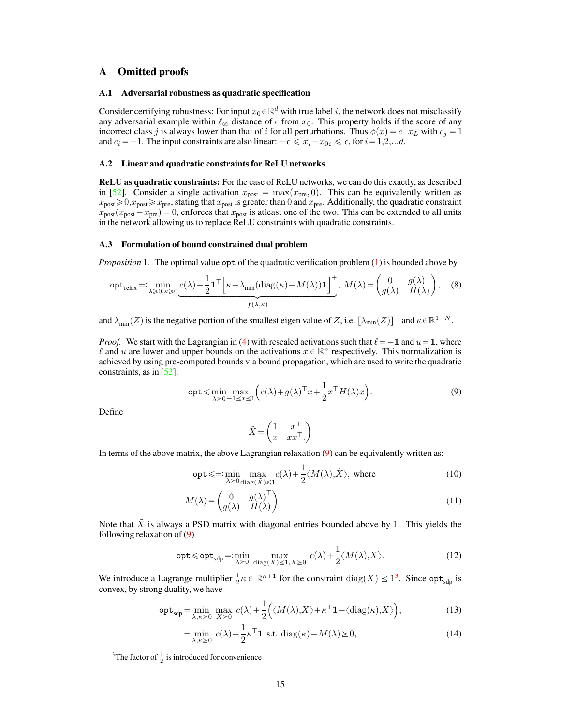## A Omitted proofs

## A.1 Adversarial robustness as quadratic specification

Consider certifying robustness: For input  $x_0 \in \mathbb{R}^d$  with true label i, the network does not misclassify any adversarial example within  $\ell_{\infty}$  distance of  $\epsilon$  from  $x_0$ . This property holds if the score of any incorrect class j is always lower than that of i for all perturbations. Thus  $\phi(x) = c^{\top} x_L$  with  $c_j = 1$ and  $c_i = -1$ . The input constraints are also linear:  $-\epsilon \leq x_i - x_{0i} \leq \epsilon$ , for  $i = 1,2,...d$ .

#### <span id="page-14-2"></span>A.2 Linear and quadratic constraints for ReLU networks

ReLU as quadratic constraints: For the case of ReLU networks, we can do this exactly, as described in [\[52\]](#page-12-6). Consider a single activation  $x_{\text{post}} = \max(x_{\text{pre}}, 0)$ . This can be equivalently written as  $x_{\text{post}} \ge 0, x_{\text{post}} \ge x_{\text{pre}}$ , stating that  $x_{\text{post}}$  is greater than 0 and  $x_{\text{pre}}$ . Additionally, the quadratic constraint  $x_{\text{post}}(x_{\text{post}} - x_{\text{pre}}) = 0$ , enforces that  $x_{\text{post}}$  is atleast one of the two. This can be extended to all units in the network allowing us to replace ReLU constraints with quadratic constraints.

## <span id="page-14-0"></span>A.3 Formulation of bound constrained dual problem

*Proposition* 1. The optimal value opt of the quadratic verification problem [\(1\)](#page-3-0) is bounded above by

$$
\operatorname{opt}_{\text{relax}} =: \min_{\lambda \ge 0, \kappa \ge 0} \underbrace{c(\lambda) + \frac{1}{2} \mathbf{1}^\top \Big[ \kappa - \lambda_{\min}^\top (\text{diag}(\kappa) - M(\lambda)) \mathbf{1} \Big]^+}_{f(\lambda, \kappa)}, \quad M(\lambda) = \begin{pmatrix} 0 & g(\lambda)^\top \\ g(\lambda) & H(\lambda) \end{pmatrix}, \quad (8)
$$

and  $\lambda_{\min}^-(Z)$  is the negative portion of the smallest eigen value of Z, i.e.  $[\lambda_{\min}(Z)]$  and  $\kappa \in \mathbb{R}^{1+N}$ .

*Proof.* We start with the Lagrangian in [\(4\)](#page-3-1) with rescaled activations such that  $\ell = -1$  and  $u = 1$ , where  $\ell$  and u are lower and upper bounds on the activations  $x \in \mathbb{R}^n$  respectively. This normalization is achieved by using pre-computed bounds via bound propagation, which are used to write the quadratic constraints, as in  $[52]$ .

$$
\text{opt} \leqslant \min_{\lambda \geq 0} \max_{-1 \leq x \leq 1} \left( c(\lambda) + g(\lambda)^\top x + \frac{1}{2} x^\top H(\lambda) x \right). \tag{9}
$$

Define

<span id="page-14-3"></span><span id="page-14-1"></span>
$$
\tilde{X} = \begin{pmatrix} 1 & x^{\top} \\ x & xx^{\top} \end{pmatrix}
$$

In terms of the above matrix, the above Lagrangian relaxation [\(9\)](#page-14-1) can be equivalently written as:

$$
opt \leq \lim_{\lambda \geq 0} \max_{\text{diag}(\tilde{X}) \leq 1} c(\lambda) + \frac{1}{2} \langle M(\lambda), \tilde{X} \rangle, \text{ where } (10)
$$

$$
M(\lambda) = \begin{pmatrix} 0 & g(\lambda)^{\top} \\ g(\lambda) & H(\lambda) \end{pmatrix}
$$
 (11)

Note that  $\tilde{X}$  is always a PSD matrix with diagonal entries bounded above by 1. This yields the following relaxation of [\(9\)](#page-14-1)

$$
\mathsf{opt} \leq \mathsf{opt}_{\mathsf{sdp}} =: \min_{\lambda \geq 0} \max_{\text{diag}(X) \leq 1, X \geq 0} c(\lambda) + \frac{1}{2} \langle M(\lambda), X \rangle. \tag{12}
$$

We introduce a Lagrange multiplier  $\frac{1}{2}\kappa \in \mathbb{R}^{n+1}$  for the constraint  $\text{diag}(X) \leq 1^3$  $\text{diag}(X) \leq 1^3$ . Since opt<sub>sdp</sub> is convex, by strong duality, we have

$$
\mathsf{opt}_{\mathsf{sdp}} = \min_{\lambda,\kappa \ge 0} \max_{X \ge 0} c(\lambda) + \frac{1}{2} \Big( \langle M(\lambda), X \rangle + \kappa^\top \mathbf{1} - \langle \mathrm{diag}(\kappa), X \rangle \Big),\tag{13}
$$

<span id="page-14-4"></span>
$$
= \min_{\lambda,\kappa \ge 0} c(\lambda) + \frac{1}{2} \kappa^{\top} \mathbf{1} \text{ s.t. } \text{diag}(\kappa) - M(\lambda) \ge 0,
$$
 (14)

<sup>&</sup>lt;sup>3</sup>The factor of  $\frac{1}{2}$  is introduced for convenience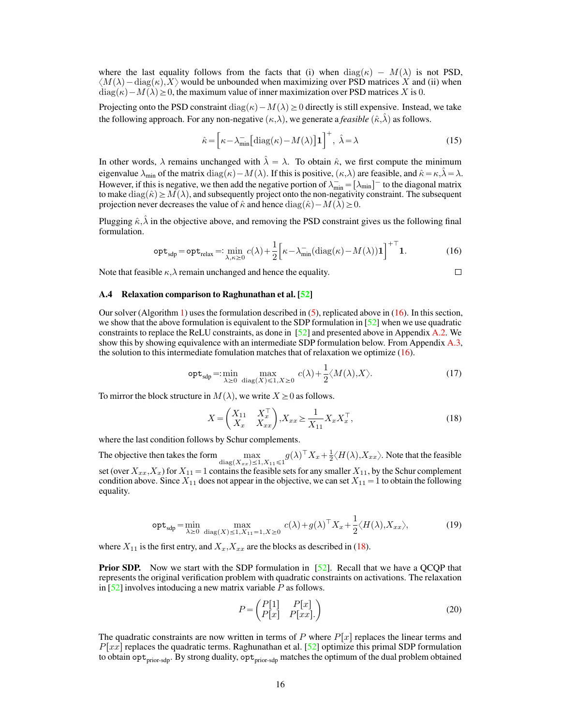where the last equality follows from the facts that (i) when  $diag(\kappa) - M(\lambda)$  is not PSD,  $\langle M(\lambda) - \text{diag}(\kappa), X \rangle$  would be unbounded when maximizing over PSD matrices X and (ii) when  $\text{diag}(\kappa) - M(\lambda) \geq 0$ , the maximum value of inner maximization over PSD matrices X is 0.

Projecting onto the PSD constraint diag( $\kappa$ ) –  $M(\lambda) \geq 0$  directly is still expensive. Instead, we take the following approach. For any non-negative  $(\kappa,\lambda)$ , we generate a *feasible*  $(\hat{\kappa},\lambda)$  as follows.

$$
\hat{\kappa} = \left[\kappa - \lambda_{\min} \left[ \text{diag}(\kappa) - M(\lambda) \right] \mathbf{1} \right]^+, \ \hat{\lambda} = \lambda \tag{15}
$$

In other words,  $\lambda$  remains unchanged with  $\lambda = \lambda$ . To obtain  $\hat{\kappa}$ , we first compute the minimum eigenvalue  $\lambda_{\min}$  of the matrix diag( $\kappa$ ) –  $M(\lambda)$ . If this is positive,  $(\kappa,\lambda)$  are feasible, and  $\hat{\kappa} = \kappa,\lambda = \lambda$ . However, if this is negative, we then add the negative portion of  $\lambda_{\min}^- = [\lambda_{\min}]^-$  to the diagonal matrix to make  $diag(\hat{\kappa}) \geq M(\lambda)$ , and subsequently project onto the non-negativity constraint. The subsequent projection never decreases the value of  $\hat{\kappa}$  and hence  $diag(\hat{\kappa}) - M(\lambda) \geq 0$ .

Plugging  $\hat{\kappa}, \hat{\lambda}$  in the objective above, and removing the PSD constraint gives us the following final formulation.

$$
\mathsf{opt}_{\textsf{sdp}} = \mathsf{opt}_{\textsf{relax}} =: \min_{\lambda, \kappa \ge 0} c(\lambda) + \frac{1}{2} \Big[ \kappa - \lambda_{\min}^- (\text{diag}(\kappa) - M(\lambda)) \mathbf{1} \Big]^{+ \top} \mathbf{1}.
$$
 (16)

Note that feasible  $\kappa, \lambda$  remain unchanged and hence the equality.

<span id="page-15-2"></span><span id="page-15-1"></span>
$$
\Box
$$

#### <span id="page-15-0"></span>A.4 Relaxation comparison to Raghunathan et al. [\[52\]](#page-12-6)

Our solver (Algorithm [1\)](#page-6-0) uses the formulation described in  $(5)$ , replicated above in  $(16)$ . In this section, we show that the above formulation is equivalent to the SDP formulation in [\[52\]](#page-12-6) when we use quadratic constraints to replace the ReLU constraints, as done in [\[52\]](#page-12-6) and presented above in Appendix [A.2.](#page-14-2) We show this by showing equivalence with an intermediate SDP formulation below. From Appendix [A.3,](#page-14-0) the solution to this intermediate fomulation matches that of relaxation we optimize [\(16\)](#page-15-1).

$$
\operatorname{opt}_{\text{sdp}} =: \min_{\lambda \ge 0} \max_{\text{diag}(X) \le 1, X \ge 0} c(\lambda) + \frac{1}{2} \langle M(\lambda), X \rangle.
$$
 (17)

To mirror the block structure in  $M(\lambda)$ , we write  $X \geq 0$  as follows. ˆ

$$
X = \begin{pmatrix} X_{11} & X_x^{\top} \\ X_x & X_{xx} \end{pmatrix}, X_{xx} \ge \frac{1}{X_{11}} X_x X_x^{\top},
$$
 (18)

where the last condition follows by Schur complements.

The objective then takes the form  $\max_{\text{diag}(X_{xx}) \le 1, X_{11} \le 1} g(\lambda)^\top X_x + \frac{1}{2} \langle H(\lambda), X_{xx} \rangle$ . Note that the feasible set (over  $X_{xx}, X_x$ ) for  $X_{11} = 1$  contains the feasible sets for any smaller  $X_{11}$ , by the Schur complement condition above. Since  $X_{11}$  does not appear in the objective, we can set  $X_{11} = 1$  to obtain the following equality.

$$
\mathsf{opt}_{\mathsf{sdp}} = \min_{\lambda \ge 0} \max_{\text{diag}(X) \le 1, X_{11} = 1, X \ge 0} c(\lambda) + g(\lambda)^\top X_x + \frac{1}{2} \langle H(\lambda), X_{xx} \rangle, \tag{19}
$$

where  $X_{11}$  is the first entry, and  $X_x, X_{xx}$  are the blocks as described in [\(18\)](#page-15-2).

**Prior SDP.** Now we start with the SDP formulation in [\[52\]](#page-12-6). Recall that we have a QCQP that represents the original verification problem with quadratic constraints on activations. The relaxation in  $[52]$  involves intoducing a new matrix variable  $P$  as follows.

<span id="page-15-3"></span>
$$
P = \begin{pmatrix} P[1] & P[x] \\ P[x] & P[xx] \end{pmatrix} \tag{20}
$$

The quadratic constraints are now written in terms of P where  $P[x]$  replaces the linear terms and  $P[xx]$  replaces the quadratic terms. Raghunathan et al. [\[52\]](#page-12-6) optimize this primal SDP formulation to obtain  $opt_{prior\text{-}sdp}$ . By strong duality,  $opt_{prior\text{-}sdp}$  matches the optimum of the dual problem obtained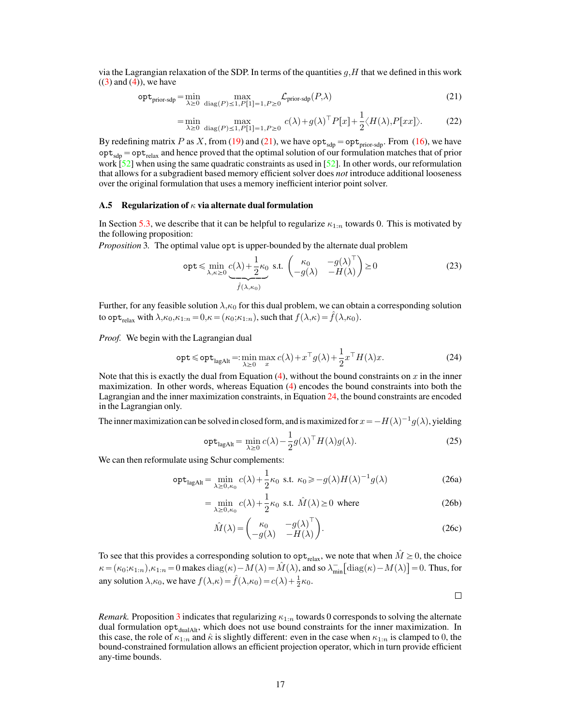via the Lagrangian relaxation of the SDP. In terms of the quantities  $q$ , H that we defined in this work  $((3)$  $((3)$  and  $(4)$ ), we have

$$
\mathsf{opt}_{\text{prior-sdp}} = \min_{\lambda \ge 0} \max_{\text{diag}(P) \le 1, P[1] = 1, P \ge 0} \mathcal{L}_{\text{prior-sdp}}(P, \lambda) \tag{21}
$$

<span id="page-16-1"></span>
$$
= \min_{\lambda \ge 0} \max_{\text{diag}(P) \le 1, P[1]=1, P \ge 0} c(\lambda) + g(\lambda)^{\top} P[x] + \frac{1}{2} \langle H(\lambda), P[xx] \rangle. \tag{22}
$$

By redefining matrix P as X, from [\(19\)](#page-15-3) and [\(21\)](#page-16-1), we have  $opt_{\text{sdp}} = opt_{\text{prior-sdp}}$ . From [\(16\)](#page-15-1), we have  $opt_{\text{sdp}} = opt_{\text{relax}}$  and hence proved that the optimal solution of our formulation matches that of prior work [\[52\]](#page-12-6) when using the same quadratic constraints as used in [52]. In other words, our reformulation that allows for a subgradient based memory efficient solver does *not* introduce additional looseness over the original formulation that uses a memory inefficient interior point solver.

## <span id="page-16-0"></span>A.5 Regularization of  $\kappa$  via alternate dual formulation

In Section [5.3,](#page-5-0) we describe that it can be helpful to regularize  $\kappa_{1:n}$  towards 0. This is motivated by the following proposition:

<span id="page-16-3"></span>*Proposition 3.* The optimal value opt is upper-bounded by the alternate dual problem  
\n
$$
\text{opt} \leq \min_{\lambda, \kappa \geq 0} \underbrace{c(\lambda) + \frac{1}{2} \kappa_0}_{\text{f}(\lambda, \kappa_0)} \text{s.t. } \begin{pmatrix} \kappa_0 & -g(\lambda)^\top \\ -g(\lambda) & -H(\lambda) \end{pmatrix} \geq 0
$$
\n(23)

Further, for any feasible solution  $\lambda, \kappa_0$  for this dual problem, we can obtain a corresponding solution to opt<sub>relax</sub> with  $\lambda, \kappa_0, \kappa_{1:n} = 0, \kappa = (\kappa_0; \kappa_{1:n})$ , such that  $f(\lambda, \kappa) = \hat{f}(\lambda, \kappa_0)$ .

*Proof.* We begin with the Lagrangian dual

$$
\text{opt} \leq \text{opt}_{\text{lagAlt}} = \min_{\lambda \geq 0} \max_{x} c(\lambda) + x^{\top} g(\lambda) + \frac{1}{2} x^{\top} H(\lambda) x. \tag{24}
$$

Note that this is exactly the dual from Equation  $(4)$ , without the bound constraints on x in the inner maximization. In other words, whereas Equation [\(4\)](#page-3-1) encodes the bound constraints into both the Lagrangian and the inner maximization constraints, in Equation [24,](#page-16-2) the bound constraints are encoded in the Lagrangian only.

The inner maximization can be solved in closed form, and is maximized for  $x = -H(\lambda)^{-1}g(\lambda)$ , yielding

$$
\operatorname{opt}_{\text{lagAlt}} = \min_{\lambda \ge 0} c(\lambda) - \frac{1}{2} g(\lambda)^\top H(\lambda) g(\lambda). \tag{25}
$$

We can then reformulate using Schur complements:

$$
\operatorname{opt}_{\text{lagAlt}} = \min_{\lambda \ge 0, \kappa_0} c(\lambda) + \frac{1}{2} \kappa_0 \text{ s.t. } \kappa_0 \ge -g(\lambda) H(\lambda)^{-1} g(\lambda)
$$
 (26a)

$$
= \min_{\lambda \ge 0, \kappa_0} c(\lambda) + \frac{1}{2} \kappa_0 \text{ s.t. } \hat{M}(\lambda) \ge 0 \text{ where}
$$
 (26b)

$$
\hat{M}(\lambda) = \begin{pmatrix} \kappa_0 & -g(\lambda)^\top \\ -g(\lambda) & -H(\lambda) \end{pmatrix}.
$$
\n(26c)

To see that this provides a corresponding solution to  $opt_{relax}$ , we note that when  $\hat{M} \geq 0$ , the choice To see that this provides a corresponding solution to  $\operatorname{opt}_{\text{relax}}$ , we note that when  $M \geq 0$ , the choice  $\kappa = (\kappa_0; \kappa_{1:n}), \kappa_{1:n} = 0$  makes  $\operatorname{diag}(\kappa) - M(\lambda) = \hat{M}(\lambda)$ , and so  $\lambda_{\min}^- \left[ \operatorname{diag}(\kappa) - M(\lambda) \right] = 0$ . Thus, any solution  $\lambda, \kappa_0$ , we have  $f(\lambda, \kappa) = \hat{f}(\lambda, \kappa_0) = c(\lambda) + \frac{1}{2}\kappa_0$ .

<span id="page-16-2"></span> $\Box$ 

*Remark.* Proposition [3](#page-16-3) indicates that regularizing  $\kappa_{1:n}$  towards 0 corresponds to solving the alternate dual formulation opt<sub>dualAlt</sub>, which does not use bound constraints for the inner maximization. In this case, the role of  $\kappa_{1:n}$  and  $\hat{\kappa}$  is slightly different: even in the case when  $\kappa_{1:n}$  is clamped to 0, the bound-constrained formulation allows an efficient projection operator, which in turn provide efficient any-time bounds.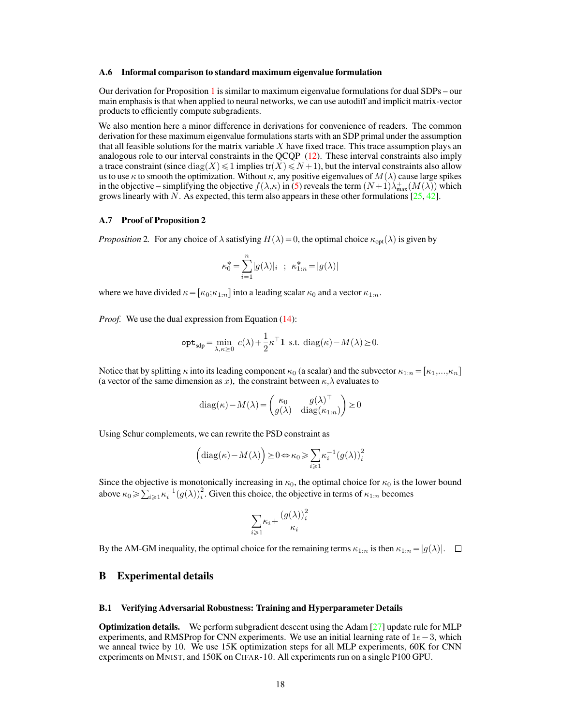#### <span id="page-17-0"></span>A.6 Informal comparison to standard maximum eigenvalue formulation

Our derivation for Proposition [1](#page-4-5) is similar to maximum eigenvalue formulations for dual SDPs – our main emphasis is that when applied to neural networks, we can use autodiff and implicit matrix-vector products to efficiently compute subgradients.

We also mention here a minor difference in derivations for convenience of readers. The common derivation for these maximum eigenvalue formulations starts with an SDP primal under the assumption that all feasible solutions for the matrix variable X have fixed trace. This trace assumption plays an analogous role to our interval constraints in the QCQP [\(12\)](#page-14-3). These interval constraints also imply a trace constraint (since  $\text{diag}(X) \leq 1$  implies tr $(X) \leq N + 1$ ), but the interval constraints also allow us to use  $\kappa$  to smooth the optimization. Without  $\kappa$ , any positive eigenvalues of  $M(\lambda)$  cause large spikes in the objective – simplifying the objective  $f(\lambda,\kappa)$  in [\(5\)](#page-4-2) reveals the term  $(N+1)\lambda_{\max}^+(M(\lambda))$  which grows linearly with N. As expected, this term also appears in these other formulations  $[25, 42]$  $[25, 42]$  $[25, 42]$ .

## <span id="page-17-1"></span>A.7 Proof of Proposition 2

*Proposition* 2. For any choice of  $\lambda$  satisfying  $H(\lambda) = 0$ , the optimal choice  $\kappa_{opt}(\lambda)$  is given by

$$
\kappa_0^* = \sum_{i=1}^n |g(\lambda)|_i \; \; ; \; \; \kappa_{1:n}^* = |g(\lambda)|
$$

where we have divided  $\kappa = [\kappa_0; \kappa_{1:n}]$  into a leading scalar  $\kappa_0$  and a vector  $\kappa_{1:n}$ .

*Proof.* We use the dual expression from Equation [\(14\)](#page-14-4):

$$
\mathsf{opt}_{\mathsf{sdp}} = \min_{\lambda,\kappa \ge 0} c(\lambda) + \frac{1}{2} \kappa^\top \mathbf{1} \text{ s.t. } \operatorname{diag}(\kappa) - M(\lambda) \ge 0.
$$

Notice that by splitting  $\kappa$  into its leading component  $\kappa_0$  (a scalar) and the subvector  $\kappa_{1:n} = [\kappa_1,...,\kappa_n]$ (a vector of the same dimension as x), the constraint between  $\kappa, \lambda$  evaluates to

$$
\operatorname{diag}(\kappa) - M(\lambda) = \begin{pmatrix} \kappa_0 & g(\lambda)^\top \\ g(\lambda) & \operatorname{diag}(\kappa_{1:n}) \end{pmatrix} \ge 0
$$

Using Schur complements, we can rewrite the PSD constraint as

$$
\left(\mathrm{diag}(\kappa) - M(\lambda)\right) \ge 0 \Leftrightarrow \kappa_0 \ge \sum_{i \ge 1} \kappa_i^{-1} \left(g(\lambda)\right)_i^2
$$

Since the objective is monotonically increasing in  $\kappa_0$ , the optimal choice for  $\kappa_0$  is the lower bound above  $\kappa_0 \ge \sum_{i\ge 1} \kappa_i^{-1} (g(\lambda))^2$ . Given this choice, the objective in terms of  $\kappa_{1:n}$  becomes

$$
\sum_{i\geqslant 1}\kappa_i+\frac{\left(g(\lambda)\right)_i^2}{\kappa_i}
$$

By the AM-GM inequality, the optimal choice for the remaining terms  $\kappa_{1:n}$  is then  $\kappa_{1:n} = |g(\lambda)|$ .  $\Box$ 

## <span id="page-17-2"></span>B Experimental details

## <span id="page-17-3"></span>B.1 Verifying Adversarial Robustness: Training and Hyperparameter Details

**Optimization details.** We perform subgradient descent using the Adam  $[27]$  update rule for MLP experiments, and RMSProp for CNN experiments. We use an initial learning rate of  $1e-3$ , which we anneal twice by 10. We use 15K optimization steps for all MLP experiments, 60K for CNN experiments on MNIST, and 150K on CIFAR-10. All experiments run on a single P100 GPU.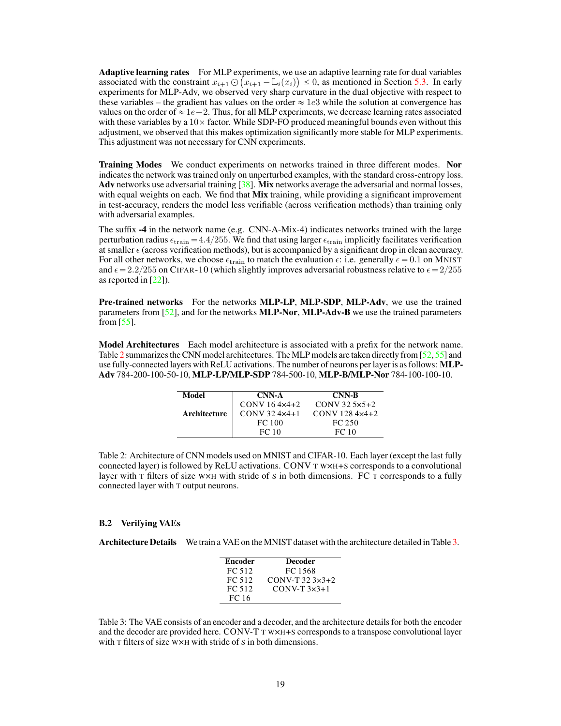Adaptive learning rates For MLP experiments, we use an adaptive learning rate for dual variables associated with the constraint  $x_{i+1} \bigcirc (x_{i+1} - \mathbb{L}_i(x_i)) \leq 0$ , as mentioned in Section [5.3.](#page-5-0) In early experiments for MLP-Adv, we observed very sharp curvature in the dual objective with respect to these variables – the gradient has values on the order  $\approx 1e3$  while the solution at convergence has values on the order of  $\approx 1e-2$ . Thus, for all MLP experiments, we decrease learning rates associated with these variables by a  $10\times$  factor. While SDP-FO produced meaningful bounds even without this adjustment, we observed that this makes optimization significantly more stable for MLP experiments. This adjustment was not necessary for CNN experiments.

Training Modes We conduct experiments on networks trained in three different modes. Nor indicates the network was trained only on unperturbed examples, with the standard cross-entropy loss. Adv networks use adversarial training [\[38\]](#page-12-4). Mix networks average the adversarial and normal losses, with equal weights on each. We find that Mix training, while providing a significant improvement in test-accuracy, renders the model less verifiable (across verification methods) than training only with adversarial examples.

The suffix -4 in the network name (e.g. CNN-A-Mix-4) indicates networks trained with the large perturbation radius  $\epsilon_{\text{train}} = 4.4/255$ . We find that using larger  $\epsilon_{\text{train}}$  implicitly facilitates verification at smaller  $\epsilon$  (across verification methods), but is accompanied by a significant drop in clean accuracy. For all other networks, we choose  $\epsilon_{\text{train}}$  to match the evaluation  $\epsilon$ : i.e. generally  $\epsilon = 0.1$  on MNIST and  $\epsilon = 2.2/255$  on CIFAR-10 (which slightly improves adversarial robustness relative to  $\epsilon = 2/255$ as reported in [\[22\]](#page-11-5)).

Pre-trained networks For the networks MLP-LP, MLP-SDP, MLP-Adv, we use the trained parameters from [\[52\]](#page-12-6), and for the networks **MLP-Nor, MLP-Adv-B** we use the trained parameters from  $[55]$ .

<span id="page-18-1"></span>Model Architectures Each model architecture is associated with a prefix for the network name. Table [2](#page-18-1) summarizes the CNN model architectures. The MLP models are taken directly from [\[52,](#page-12-6) [55\]](#page-13-16) and use fully-connected layers with ReLU activations. The number of neurons per layer is as follows: MLP-Adv 784-200-100-50-10, MLP-LP/MLP-SDP 784-500-10, MLP-B/MLP-Nor 784-100-100-10.

| Model        | CNN-A                    | <b>CNN-B</b>              |  |  |
|--------------|--------------------------|---------------------------|--|--|
|              | $CONV 16 4x4+2$          | $CONV$ 32.5 $\times$ 5+2  |  |  |
| Architecture | $CONV$ 32 4 $\times$ 4+1 | $CONV$ 128 4 $\times$ 4+2 |  |  |
|              | FC 100                   | FC 250                    |  |  |
|              | FC 10                    | FC 10                     |  |  |

Table 2: Architecture of CNN models used on MNIST and CIFAR-10. Each layer (except the last fully connected layer) is followed by ReLU activations. CONV T W×H+S corresponds to a convolutional layer with T filters of size WXH with stride of S in both dimensions. FC T corresponds to a fully connected layer with T output neurons.

## <span id="page-18-0"></span>B.2 Verifying VAEs

<span id="page-18-2"></span>Architecture Details We train a VAE on the MNIST dataset with the architecture detailed in Table [3.](#page-18-2)

| <b>Encoder</b> | <b>Decoder</b>       |
|----------------|----------------------|
| FC 512         | FC 1568              |
| FC 512         | $CONV-T$ 32.3 $x3+2$ |
| FC 512         | $CONV-T 3x3+1$       |
| FC 16          |                      |

Table 3: The VAE consists of an encoder and a decoder, and the architecture details for both the encoder and the decoder are provided here. CONV-T T W×H+S corresponds to a transpose convolutional layer with T filters of size W×H with stride of S in both dimensions.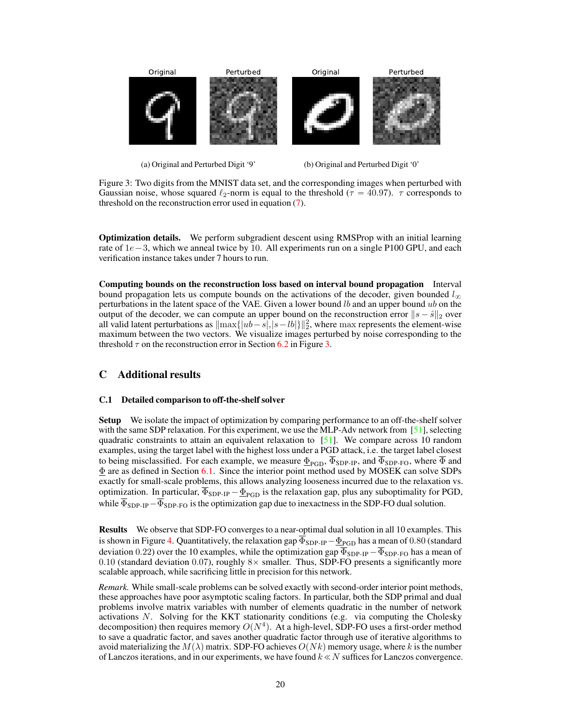<span id="page-19-2"></span>

(a) Original and Perturbed Digit '9'

(b) Original and Perturbed Digit '0'

Figure 3: Two digits from the MNIST data set, and the corresponding images when perturbed with Gaussian noise, whose squared  $\ell_2$ -norm is equal to the threshold ( $\tau = 40.97$ ).  $\tau$  corresponds to threshold on the reconstruction error used in equation [\(7\)](#page-8-2).

Optimization details. We perform subgradient descent using RMSProp with an initial learning rate of  $1e-3$ , which we anneal twice by 10. All experiments run on a single P100 GPU, and each verification instance takes under 7 hours to run.

Computing bounds on the reconstruction loss based on interval bound propagation Interval bound propagation lets us compute bounds on the activations of the decoder, given bounded  $l_{\infty}$ perturbations in the latent space of the VAE. Given a lower bound  $lb$  and an upper bound  $ub$  on the output of the decoder, we can compute an upper bound on the reconstruction error  $||s - \hat{s}||_2$  over all valid latent perturbations as  $\|\max\{|ub-s|,|s-lb|\}\|_2^2$ , where  $\max$  represents the element-wise maximum between the two vectors. We visualize images perturbed by noise corresponding to the threshold  $\tau$  on the reconstruction error in Section [6.2](#page-8-0) in Figure [3.](#page-19-2)

## <span id="page-19-0"></span>C Additional results

## <span id="page-19-1"></span>C.1 Detailed comparison to off-the-shelf solver

Setup We isolate the impact of optimization by comparing performance to an off-the-shelf solver with the same SDP relaxation. For this experiment, we use the MLP-Adv network from [\[51\]](#page-12-3), selecting quadratic constraints to attain an equivalent relaxation to  $[51]$ . We compare across 10 random examples, using the target label with the highest loss under a PGD attack, i.e. the target label closest to being misclassified. For each example, we measure  $\underline{\Phi}_{PGD}$ ,  $\overline{\Phi}_{SDP-IP}$ , and  $\overline{\Phi}_{SDP-FO}$ , where  $\overline{\Phi}$  and  $\underline{\Phi}$  are as defined in Section [6.1.](#page-6-1) Since the interior point method used by MOSEK can solve SDPs exactly for small-scale problems, this allows analyzing looseness incurred due to the relaxation vs. optimization. In particular,  $\overline{\Phi}_{SDP-IP} - \underline{\Phi}_{PGD}$  is the relaxation gap, plus any suboptimality for PGD, while  $\overline{\Phi}_{SDP-IP} - \overline{\Phi}_{SDP-FO}$  is the optimization gap due to inexactness in the SDP-FO dual solution.

Results We observe that SDP-FO converges to a near-optimal dual solution in all 10 examples. This is shown in Figure [4.](#page-20-0) Quantitatively, the relaxation gap  $\overline{\Phi}_{SDP-IP}-\underline{\Phi}_{PGD}$  has a mean of 0.80 (standard deviation 0.22) over the 10 examples, while the optimization gap  $\overline{\Phi}_{SDP-IP} - \overline{\Phi}_{SDP-FO}$  has a mean of 0.10 (standard deviation 0.07), roughly  $8\times$  smaller. Thus, SDP-FO presents a significantly more scalable approach, while sacrificing little in precision for this network.

*Remark.* While small-scale problems can be solved exactly with second-order interior point methods, these approaches have poor asymptotic scaling factors. In particular, both the SDP primal and dual problems involve matrix variables with number of elements quadratic in the number of network activations  $N$ . Solving for the KKT stationarity conditions (e.g. via computing the Cholesky decomposition) then requires memory  $O(N^4)$ . At a high-level, SDP-FO uses a first-order method to save a quadratic factor, and saves another quadratic factor through use of iterative algorithms to avoid materializing the  $M(\lambda)$  matrix. SDP-FO achieves  $O(Nk)$  memory usage, where k is the number of Lanczos iterations, and in our experiments, we have found  $k \ll N$  suffices for Lanczos convergence.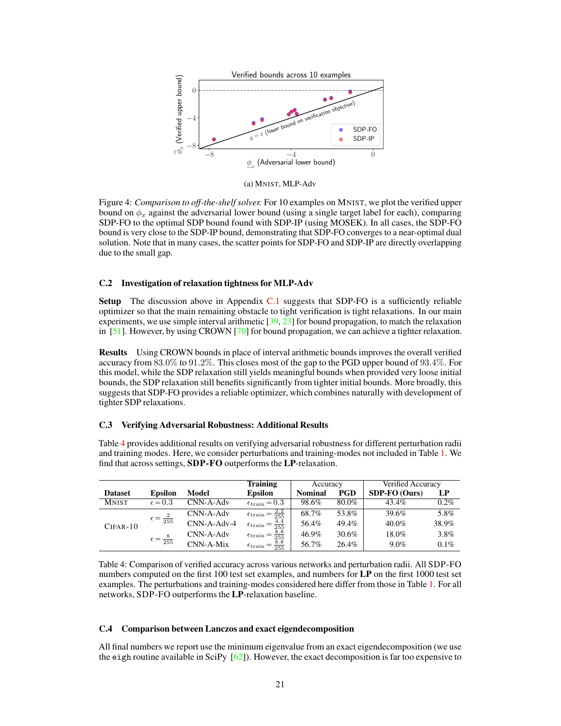<span id="page-20-0"></span>

(a) MNIST, MLP-Adv

Figure 4: *Comparison to off-the-shelf solver.* For 10 examples on MNIST, we plot the verified upper bound on  $\phi_x$  against the adversarial lower bound (using a single target label for each), comparing SDP-FO to the optimal SDP bound found with SDP-IP (using MOSEK). In all cases, the SDP-FO bound is very close to the SDP-IP bound, demonstrating that SDP-FO converges to a near-optimal dual solution. Note that in many cases, the scatter points for SDP-FO and SDP-IP are directly overlapping due to the small gap.

## C.2 Investigation of relaxation tightness for MLP-Adv

Setup The discussion above in Appendix [C.1](#page-19-1) suggests that SDP-FO is a sufficiently reliable optimizer so that the main remaining obstacle to tight verification is tight relaxations. In our main experiments, we use simple interval arithmetic  $\left[39, 23\right]$  $\left[39, 23\right]$  $\left[39, 23\right]$  for bound propagation, to match the relaxation in  $[51]$ . However, by using CROWN  $[70]$  for bound propagation, we can achieve a tighter relaxation.

Results Using CROWN bounds in place of interval arithmetic bounds improves the overall verified accuracy from 83.0% to 91.2%. This closes most of the gap to the PGD upper bound of 93.4%. For this model, while the SDP relaxation still yields meaningful bounds when provided very loose initial bounds, the SDP relaxation still benefits significantly from tighter initial bounds. More broadly, this suggests that SDP-FO provides a reliable optimizer, which combines naturally with development of tighter SDP relaxations.

#### C.3 Verifying Adversarial Robustness: Additional Results

Table [4](#page-20-1) provides additional results on verifying adversarial robustness for different perturbation radii and training modes. Here, we consider perturbations and training-modes not included in Table [1.](#page-7-1) We find that across settings, SDP-FO outperforms the LP-relaxation.

<span id="page-20-1"></span>

|                |                            |               | <b>Training</b>                                  | Accuracy       |       | Verified Accuracy |         |
|----------------|----------------------------|---------------|--------------------------------------------------|----------------|-------|-------------------|---------|
| <b>Dataset</b> | <b>Epsilon</b>             | Model         | <b>Epsilon</b>                                   | <b>Nominal</b> | PGD   | SDP-FO (Ours)     | LP      |
| <b>MNIST</b>   | $\epsilon = 0.3$           | CNN-A-Adv     | $\epsilon_{\text{train}} = 0.3$                  | 98.6%          | 80.0% | 43.4%             | $0.2\%$ |
| $CIFAR-10$     | $\epsilon = \frac{2}{255}$ | CNN-A-Adv     | $\epsilon_{\text{train}} = \frac{2.2}{255}$      | 68.7%          | 53.8% | 39.6%             | 5.8%    |
|                |                            | $CNN-A-Adv-4$ | $\frac{4.4}{255}$<br>$\epsilon_{\text{train}} =$ | 56.4%          | 49.4% | $40.0\%$          | 38.9%   |
|                | $\epsilon = \frac{8}{255}$ | CNN-A-Adv     | $\frac{8.8}{255}$<br>$\epsilon_{\text{train}} =$ | $46.9\%$       | 30.6% | 18.0%             | 3.8%    |
|                |                            | CNN-A-Mix     | $\frac{8.8}{255}$<br>$\epsilon_{\text{train}} =$ | 56.7%          | 26.4% | 9.0%              | 0.1%    |

Table 4: Comparison of verified accuracy across various networks and perturbation radii. All SDP-FO numbers computed on the first 100 test set examples, and numbers for LP on the first 1000 test set examples. The perturbations and training-modes considered here differ from those in Table [1.](#page-7-1) For all networks, SDP-FO outperforms the LP-relaxation baseline.

## C.4 Comparison between Lanczos and exact eigendecomposition

All final numbers we report use the minimum eigenvalue from an exact eigendecomposition (we use the eigh routine available in SciPy  $[62]$ ). However, the exact decomposition is far too expensive to